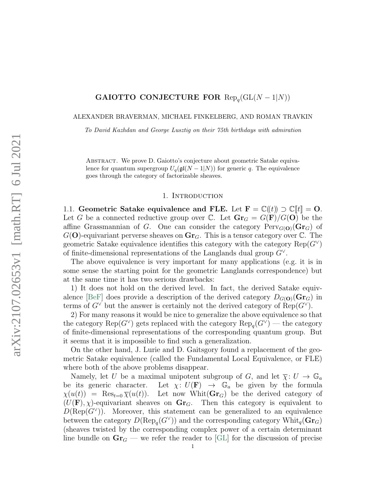# GAIOTTO CONJECTURE FOR  $\text{Rep}_q(\text{GL}(N-1|N))$

ALEXANDER BRAVERMAN, MICHAEL FINKELBERG, AND ROMAN TRAVKIN

To David Kazhdan and George Lusztig on their 75th birthdays with admiration

Abstract. We prove D. Gaiotto's conjecture about geometric Satake equivalence for quantum supergroup  $U_q(\mathfrak{gl}(N-1|N))$  for generic q. The equivalence goes through the category of factorizable sheaves.

#### 1. Introduction

1.1. Geometric Satake equivalence and FLE. Let  $\mathbf{F} = \mathbb{C}(\mathbf{F}) \supset \mathbb{C}[\mathbf{F}] = \mathbf{O}$ . Let G be a connected reductive group over C. Let  $\mathbf{Gr}_G = G(\mathbf{F})/G(\mathbf{O})$  be the affine Grassmannian of G. One can consider the category  $Perv_{G(\mathbf{O})}(\mathbf{Gr}_G)$  of  $G(\mathbf{O})$ -equivariant perverse sheaves on  $\mathbf{Gr}_G$ . This is a tensor category over  $\mathbb{C}$ . The geometric Satake equivalence identifies this category with the category  $\text{Rep}(G^{\vee})$ of finite-dimensional representations of the Langlands dual group  $G^{\vee}$ .

The above equivalence is very important for many applications (e.g. it is in some sense the starting point for the geometric Langlands correspondence) but at the same time it has two serious drawbacks:

1) It does not hold on the derived level. In fact, the derived Satake equiv-alence [\[BeF\]](#page-24-0) does provide a description of the derived category  $D_{G(\mathbf{O})}(\mathbf{Gr}_G)$  in terms of  $G^{\vee}$  but the answer is certainly not the derived category of  $\text{Rep}(G^{\vee})$ .

2) For many reasons it would be nice to generalize the above equivalence so that the category  $\text{Rep}(G^{\vee})$  gets replaced with the category  $\text{Rep}_q(G^{\vee})$  — the category of finite-dimensional representations of the corresponding quantum group. But it seems that it is impossible to find such a generalization.

On the other hand, J. Lurie and D. Gaitsgory found a replacement of the geometric Satake equivalence (called the Fundamental Local Equivalence, or FLE) where both of the above problems disappear.

Namely, let U be a maximal unipotent subgroup of G, and let  $\overline{\chi} : U \to \mathbb{G}_a$ be its generic character. Let  $\chi: U(\mathbf{F}) \to \mathbb{G}_a$  be given by the formula  $\chi(u(t)) = \text{Res}_{t=0} \overline{\chi}(u(t)).$  Let now Whit( $\text{Gr}_G$ ) be the derived category of  $(U(\mathbf{F}), \chi)$ -equivariant sheaves on  $\mathbf{Gr}_G$ . Then this category is equivalent to  $D(\text{Rep}(G^{\vee}))$ . Moreover, this statement can be generalized to an equivalence between the category  $D(\text{Rep}_q(G^{\vee}))$  and the corresponding category  $\text{Whit}_q(\text{Gr}_G)$ (sheaves twisted by the corresponding complex power of a certain determinant line bundle on  $\mathbf{Gr}_G$  — we refer the reader to [\[GL\]](#page-24-1) for the discussion of precise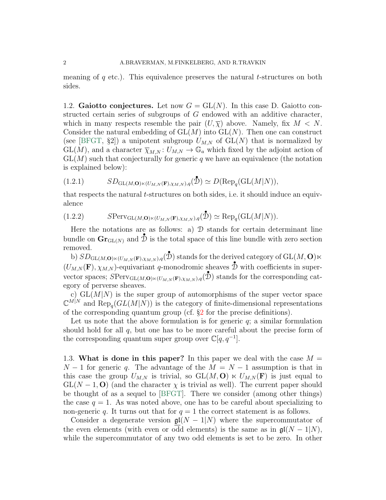meaning of  $q$  etc.). This equivalence preserves the natural t-structures on both sides.

1.2. Gaiotto conjectures. Let now  $G = GL(N)$ . In this case D. Gaiotto constructed certain series of subgroups of G endowed with an additive character, which in many respects resemble the pair  $(U,\overline{\chi})$  above. Namely, fix  $M < N$ . Consider the natural embedding of  $GL(M)$  into  $GL(N)$ . Then one can construct (see [\[BFGT,](#page-24-2) §2]) a unipotent subgroup  $U_{M,N}$  of  $GL(N)$  that is normalized by  $GL(M)$ , and a character  $\overline{\chi}_{M,N} : U_{M,N} \to \mathbb{G}_a$  which fixed by the adjoint action of  $GL(M)$  such that conjecturally for generic q we have an equivalence (the notation is explained below):

<span id="page-1-1"></span>(1.2.1) 
$$
SD_{\mathrm{GL}(M,\mathbf{O})\ltimes (U_{M,N}(\mathbf{F}),\chi_{M,N}),q}(\mathbf{\hat{D}})\simeq D(\mathrm{Rep}_{q}(\mathrm{GL}(M|N)),
$$

that respects the natural t-structures on both sides, i.e. it should induce an equivalence

<span id="page-1-0"></span>(1.2.2) 
$$
S\text{Perv}_{\text{GL}(M,\mathbf{O})\ltimes (U_{M,N}(\mathbf{F}),\chi_{M,N}),q}(\mathbf{\hat{D}})\simeq \text{Rep}_q(\text{GL}(M|N)).
$$

Here the notations are as follows: a)  $\mathcal D$  stands for certain determinant line bundle on  $\mathbf{Gr}_{GL(N)}$  and  $\mathcal{\tilde{D}}$  is the total space of this line bundle with zero section removed.

b)  $SD_{\mathrm{GL}(M,\mathbf{O})\ltimes (U_{M,N}(\mathbf{F}),\chi_{M,N}),q}(\mathbf{\hat{D}})$  stands for the derived category of  $\mathrm{GL}(M,\mathbf{O})\ltimes$  $(U_{M,N}(\mathbf{F}), \chi_{M,N})$ -equivariant q-monodromic sheaves  $\mathbf{\hat{D}}$  with coefficients in supervector spaces;  $SPerv_{GL(M, \mathbf{O}) \ltimes (U_{M,N}(\mathbf{F}), \chi_{M,N}),q}(\mathbf{D})$  stands for the corresponding category of perverse sheaves.

c)  $GL(M|N)$  is the super group of automorphisms of the super vector space  $\mathbb{C}^{M|N}$  and  $\text{Rep}_q(GL(M|N))$  is the category of finite-dimensional representations of the corresponding quantum group (cf. §[2](#page-5-0) for the precise definitions).

Let us note that the above formulation is for generic  $q$ ; a similar formulation should hold for all  $q$ , but one has to be more careful about the precise form of the corresponding quantum super group over  $\mathbb{C}[q, q^{-1}]$ .

1.3. What is done in this paper? In this paper we deal with the case  $M =$  $N-1$  for generic q. The advantage of the  $M = N-1$  assumption is that in this case the group  $U_{M,N}$  is trivial, so  $GL(M, O) \ltimes U_{M,N}(F)$  is just equal to  $GL(N-1, 0)$  (and the character  $\chi$  is trivial as well). The current paper should be thought of as a sequel to [\[BFGT\]](#page-24-2). There we consider (among other things) the case  $q = 1$ . As was noted above, one has to be careful about specializing to non-generic q. It turns out that for  $q = 1$  the correct statement is as follows.

Consider a degenerate version  $\mathfrak{gl}(N-1|N)$  where the supercommutator of the even elements (with even or odd elements) is the same as in  $\mathfrak{gl}(N-1|N)$ , while the supercommutator of any two odd elements is set to be zero. In other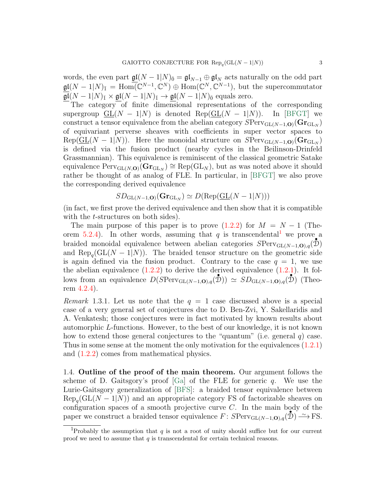words, the even part  $\underline{\mathfrak{gl}}(N-1|N)_{\bar{0}}=\mathfrak{gl}_{N-1}\oplus \mathfrak{gl}_N$  acts naturally on the odd part  $\mathfrak{gl}(N-1|N)$ <sub>I</sub> = Hom $\overline{(\mathbb{C}^{N-1}, \mathbb{C}^N)}$   $\oplus$  Hom $(\mathbb{C}^N, \mathbb{C}^{N-1})$ , but the supercommutator  $\mathfrak{gl}(N-1|N)_{\bar{1}} \times \mathfrak{gl}(N-1|N)_{\bar{1}} \to \mathfrak{gl}(N-1|N)_{\bar{0}}$  equals zero.

The category of finite dimensional representations of the corresponding supergroup  $GL(N - 1|N)$  is denoted Rep( $GL(N - 1|N)$ ). In [\[BFGT\]](#page-24-2) we construct a tensor equivalence from the abelian category  $SPerv_{\mathrm{GL}(N-1,\mathbf{O})}(\mathbf{Gr}_{\mathrm{GL}_N})$ of equivariant perverse sheaves with coefficients in super vector spaces to  $\text{Rep}(\underline{GL}(N-1|N)).$  Here the monoidal structure on  $S\text{Perv}_{GL(N-1,\mathbf{O})}(\mathbf{Gr}_{GL_N})$ is defined via the fusion product (nearby cycles in the Beilinson-Drinfeld Grassmannian). This equivalence is reminiscent of the classical geometric Satake equivalence  $\text{Perv}_{\text{GL}(N, \mathbf{O})}(\mathbf{Gr}_{\text{GL}_N}) \cong \text{Rep}(\text{GL}_N)$ , but as was noted above it should rather be thought of as analog of FLE. In particular, in [\[BFGT\]](#page-24-2) we also prove the corresponding derived equivalence

$$
SD_{\text{GL}(N-1,\mathbf{O})}(\mathbf{Gr}_{\text{GL}_N}) \simeq D(\text{Rep}(\underline{\text{GL}}(N-1|N)))
$$

(in fact, we first prove the derived equivalence and then show that it is compatible with the *t*-structures on both sides).

The main purpose of this paper is to prove  $(1.2.2)$  for  $M = N - 1$  (The-orem [5.2.4\)](#page-21-0). In other words, assuming that q is transcendental<sup>[1](#page-2-0)</sup> we prove a braided monoidal equivalence between abelian categories  $SPerv_{GL(N-1,0),q}(\mathcal{D})$ and  $\text{Rep}_{q}(\text{GL}(N-1|N)).$  The braided tensor structure on the geometric side is again defined via the fusion product. Contrary to the case  $q = 1$ , we use the abelian equivalence  $(1.2.2)$  to derive the derived equivalence  $(1.2.1)$ . It follows from an equivalence  $D(SPerv_{GL(N-1,0),q}(\mathcal{D})) \simeq SD_{GL(N-1,0),q}(\mathcal{D})$  (Theorem [4.2.4\)](#page-18-0).

Remark 1.3.1. Let us note that the  $q = 1$  case discussed above is a special case of a very general set of conjectures due to D. Ben-Zvi, Y. Sakellaridis and A. Venkatesh; those conjectures were in fact motivated by known results about automorphic L-functions. However, to the best of our knowledge, it is not known how to extend those general conjectures to the "quantum" (i.e. general  $q$ ) case. Thus in some sense at the moment the only motivation for the equivalences [\(1.2.1\)](#page-1-1) and [\(1.2.2\)](#page-1-0) comes from mathematical physics.

1.4. Outline of the proof of the main theorem. Our argument follows the scheme of D. Gaitsgory's proof  $[Ga]$  of the FLE for generic q. We use the Lurie-Gaitsgory generalization of [\[BFS\]](#page-24-4): a braided tensor equivalence between  $\text{Rep}_{q}(\text{GL}(N-1|N))$  and an appropriate category FS of factorizable sheaves on configuration spaces of a smooth projective curve  $C$ . In the main body of the paper we construct a braided tensor equivalence  $F: SPerv_{GL(N-1,0),q}(\mathcal{D}) \longrightarrow FS.$ 

<span id="page-2-0"></span><sup>&</sup>lt;sup>1</sup>Probably the assumption that q is not a root of unity should suffice but for our current proof we need to assume that  $q$  is transcendental for certain technical reasons.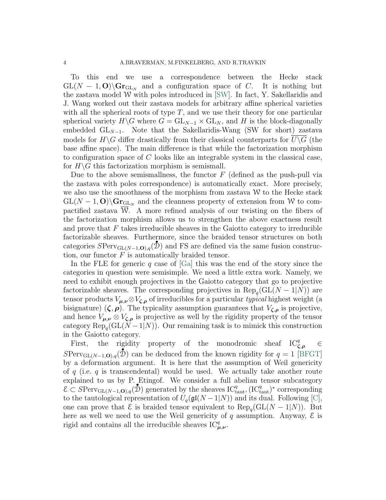To this end we use a correspondence between the Hecke stack  $GL(N-1, 0) \backslash Gr_{GL_N}$  and a configuration space of C. It is nothing but the zastava model W with poles introduced in [\[SW\]](#page-25-0). In fact, Y. Sakellaridis and J. Wang worked out their zastava models for arbitrary affine spherical varieties with all the spherical roots of type  $T$ , and we use their theory for one particular spherical variety  $H\backslash G$  where  $G = GL_{N-1} \times GL_N$ , and H is the block-diagonally embedded  $GL_{N-1}$ . Note that the Sakellaridis-Wang (SW for short) zastava models for  $H\backslash G$  differ drastically from their classical counterparts for  $\overline{U\backslash G}$  (the base affine space). The main difference is that while the factorization morphism to configuration space of C looks like an integrable system in the classical case, for  $H\backslash G$  this factorization morphism is semismall.

Due to the above semismallness, the functor  $F$  (defined as the push-pull via the zastava with poles correspondence) is automatically exact. More precisely, we also use the smoothness of the morphism from zastava  $W$  to the Hecke stack  $GL(N-1, 0) \backslash \mathbf{Gr}_{\mathrm{GL}_N}$  and the cleanness property of extension from W to compactified zastava W. A more refined analysis of our twisting on the fibers of the factorization morphism allows us to strengthen the above exactness result and prove that  $F$  takes irreducible sheaves in the Gaiotto category to irreducible factorizable sheaves. Furthermore, since the braided tensor structures on both categories  $SPerv_{GL(N-1,0),q}(\mathcal{D})$  and FS are defined via the same fusion construction, our functor  $F$  is automatically braided tensor.

In the FLE for generic q case of  $[Ga]$  this was the end of the story since the categories in question were semisimple. We need a little extra work. Namely, we need to exhibit enough projectives in the Gaiotto category that go to projective factorizable sheaves. The corresponding projectives in  $\text{Rep}_q(\text{GL}(N-1|N))$  are tensor products  $V_{\mu,\nu} \otimes V_{\zeta,\rho}$  of irreducibles for a particular *typical* highest weight (a bisignature)  $(\zeta, \rho)$ . The typicality assumption guarantees that  $V_{\zeta, \rho}$  is projective, and hence  $V_{\mu,\nu} \otimes V_{\zeta,\rho}$  is projective as well by the rigidity property of the tensor category  $\text{Rep}_q(\text{GL}(N-1|N))$ . Our remaining task is to mimick this construction in the Gaiotto category.

First, the rigidity property of the monodromic sheaf  $IC_{\zeta,\rho}^q \in \mathbb{R}$  $SPerv_{\mathrm{GL}(N-1,\mathbf{O}),q}(\tilde{\mathcal{D}})$  can be deduced from the known rigidity for  $q=1$  [\[BFGT\]](#page-24-2) by a deformation argument. It is here that the assumption of Weil genericity of q (i.e. q is transcendental) would be used. We actually take another route explained to us by P. Etingof. We consider a full abelian tensor subcategory  $\mathcal{E} \subset S\text{Perv}_{GL(N-1,\mathbf{O}),q}(\mathcal{D})$  generated by the sheaves  $IC_{taut}^q$ ,  $(IC_{taut}^q)^*$  corresponding to the tautological representation of  $U_q(\mathfrak{gl}(N-1|N))$  and its dual. Following [\[C\]](#page-24-5), one can prove that  $\mathcal E$  is braided tensor equivalent to  $\text{Rep}_q(\text{GL}(N-1|N))$ . But here as well we need to use the Weil genericity of q assumption. Anyway,  $\mathcal E$  is rigid and contains all the irreducible sheaves  $IC_{\mu,\nu}^q$ .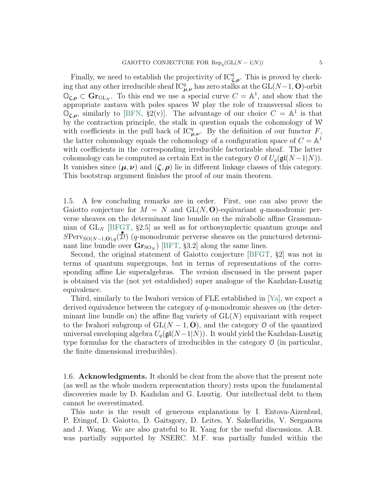Finally, we need to establish the projectivity of  $IC_{\zeta,\rho}^q$ . This is proved by checking that any other irreducible sheaf  $\mathrm{IC}_{\mu,\nu}^q$  has zero stalks at the  $\mathrm{GL}(N-1,\mathbf{O})$ -orbit  $\mathbb{O}_{\zeta,\rho} \subset \mathbf{Gr}_{\mathrm{GL}_N}$ . To this end we use a special curve  $C = \mathbb{A}^1$ , and show that the appropriate zastava with poles spaces  $W$  play the role of transversal slices to  $\mathbb{O}_{\zeta,\rho}$ , similarly to [\[BFN,](#page-24-6) §2(v)]. The advantage of our choice  $C = \mathbb{A}^1$  is that by the contraction principle, the stalk in question equals the cohomology of W with coefficients in the pull back of  $IC_{\mu,\nu}^q$ . By the definition of our functor F, the latter cohomology equals the cohomology of a configuration space of  $C = \mathbb{A}^1$ with coefficients in the corresponding irreducible factorizable sheaf. The latter cohomology can be computed as certain Ext in the category  $\mathcal{O}$  of  $U_q(\mathfrak{gl}(N-1|N)).$ It vanishes since  $(\mu, \nu)$  and  $(\zeta, \rho)$  lie in different linkage classes of this category. This bootstrap argument finishes the proof of our main theorem.

1.5. A few concluding remarks are in order. First, one can also prove the Gaiotto conjecture for  $M = N$  and  $GL(N, 0)$ -equivariant q-monodromic perverse sheaves on the determinant line bundle on the mirabolic affine Grassmannian of  $GL_N$  [\[BFGT,](#page-24-2) §2.5] as well as for orthosymplectic quantum groups and  $SPerv_{SO(N-1,\mathbf{O}),q}(\mathcal{D})$  (q-monodromic perverse sheaves on the punctured determinant line bundle over  $\mathbf{Gr}_{\mathrm{SO}_N}$ ) [\[BFT,](#page-24-7) §3.2] along the same lines.

Second, the original statement of Gaiotto conjecture [\[BFGT,](#page-24-2) §2] was not in terms of quantum supergroups, but in terms of representations of the corresponding affine Lie superalgebras. The version discussed in the present paper is obtained via the (not yet established) super analogue of the Kazhdan-Lusztig equivalence.

Third, similarly to the Iwahori version of FLE established in [\[Ya\]](#page-25-1), we expect a derived equivalence between the category of  $q$ -monodromic sheaves on (the determinant line bundle on) the affine flag variety of  $GL(N)$  equivariant with respect to the Iwahori subgroup of  $GL(N-1, 0)$ , and the category 0 of the quantized universal enveloping algebra  $U_q(\mathfrak{gl}(N-1|N))$ . It would yield the Kazhdan-Lusztig type formulas for the characters of irreducibles in the category O (in particular, the finite dimensional irreducibles).

1.6. **Acknowledgments.** It should be clear from the above that the present note (as well as the whole modern representation theory) rests upon the fundamental discoveries made by D. Kazhdan and G. Lusztig. Our intellectual debt to them cannot be overestimated.

This note is the result of generous explanations by I. Entova-Aizenbud, P. Etingof, D. Gaiotto, D. Gaitsgory, D. Leites, Y. Sakellaridis, V. Serganova and J. Wang. We are also grateful to R. Yang for the useful discussions. A.B. was partially supported by NSERC. M.F. was partially funded within the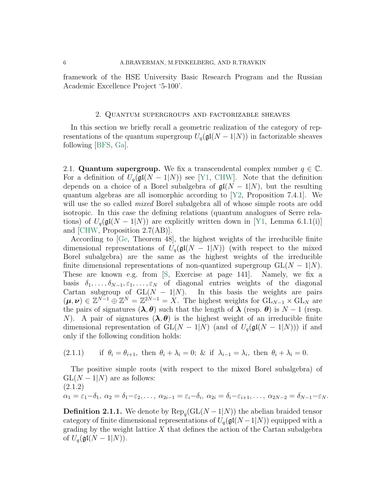framework of the HSE University Basic Research Program and the Russian Academic Excellence Project '5-100'.

## 2. Quantum supergroups and factorizable sheaves

<span id="page-5-0"></span>In this section we briefly recall a geometric realization of the category of representations of the quantum supergroup  $U_q(\mathfrak{gl}(N-1|N))$  in factorizable sheaves following [\[BFS,](#page-24-4) [Ga\]](#page-24-3).

2.1. Quantum supergroup. We fix a transcendental complex number  $q \in \mathbb{C}$ . For a definition of  $U_q(\mathfrak{gl}(N-1|N))$  see [\[Y1,](#page-25-2) [CHW\]](#page-24-8). Note that the definition depends on a choice of a Borel subalgebra of  $\mathfrak{gl}(N-1|N)$ , but the resulting quantum algebras are all isomorphic according to [\[Y2,](#page-25-3) Proposition 7.4.1]. We will use the so called *mixed* Borel subalgebra all of whose simple roots are odd isotropic. In this case the defining relations (quantum analogues of Serre relations) of  $U_q(\mathfrak{gl}(N-1|N))$  are explicitly written down in [\[Y1,](#page-25-2) Lemma 6.1.1(i)] and [\[CHW,](#page-24-8) Proposition 2.7(AB)].

According to [\[Ge,](#page-24-9) Theorem 48], the highest weights of the irreducible finite dimensional representations of  $U_q(\mathfrak{gl}(N-1|N))$  (with respect to the mixed Borel subalgebra) are the same as the highest weights of the irreducible finite dimensional representations of non-quantized supergroup  $GL(N - 1|N)$ . These are known e.g. from [\[S,](#page-25-4) Exercise at page 141]. Namely, we fix a basis  $\delta_1, \ldots, \delta_{N-1}, \varepsilon_1, \ldots, \varepsilon_N$  of diagonal entries weights of the diagonal Cartan subgroup of  $GL(N - 1|N)$ . In this basis the weights are pairs  $(\mu, \nu) \in \mathbb{Z}^{N-1} \oplus \mathbb{Z}^N = \mathbb{Z}^{2N-1} = X$ . The highest weights for  $\mathrm{GL}_{N-1} \times \mathrm{GL}_N$  are the pairs of signatures  $(\lambda, \theta)$  such that the length of  $\lambda$  (resp.  $\theta$ ) is  $N - 1$  (resp. N). A pair of signatures  $(\lambda, \theta)$  is the highest weight of an irreducible finite dimensional representation of  $GL(N-1|N)$  (and of  $U_q(\mathfrak{gl}(N-1|N))$ ) if and only if the following condition holds:

<span id="page-5-2"></span>(2.1.1) if 
$$
\theta_i = \theta_{i+1}
$$
, then  $\theta_i + \lambda_i = 0$ ; & if  $\lambda_{i-1} = \lambda_i$ , then  $\theta_i + \lambda_i = 0$ .

The positive simple roots (with respect to the mixed Borel subalgebra) of  $GL(N-1|N)$  are as follows: (2.1.2)  $\alpha_1 = \varepsilon_1 - \delta_1, \ \alpha_2 = \delta_1 - \varepsilon_2, \ldots, \ \alpha_{2i-1} = \varepsilon_i - \delta_i, \ \alpha_{2i} = \delta_i - \varepsilon_{i+1}, \ldots, \ \alpha_{2N-2} = \delta_{N-1} - \varepsilon_N.$ 

<span id="page-5-1"></span>**Definition 2.1.1.** We denote by  $\text{Rep}_q(\text{GL}(N-1|N))$  the abelian braided tensor category of finite dimensional representations of  $U_q(\mathfrak{gl}(N-1|N))$  equipped with a grading by the weight lattice  $X$  that defines the action of the Cartan subalgebra of  $U_q(\mathfrak{gl}(N-1|N)).$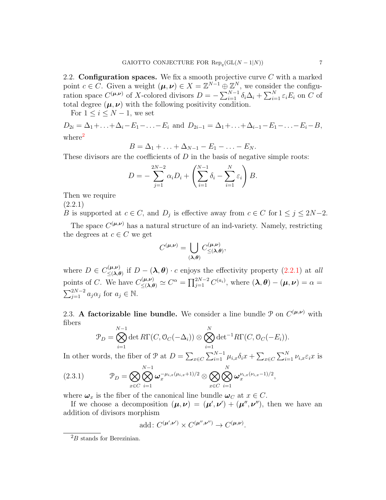2.2. **Configuration spaces.** We fix a smooth projective curve  $C$  with a marked point  $c \in \overline{C}$ . Given a weight  $(\mu, \nu) \in X = \mathbb{Z}^{N-1} \oplus \mathbb{Z}^N$ , we consider the configuration space  $C^{(\mu,\nu)}$  of X-colored divisors  $D = -\sum_{i=1}^{N-1} \delta_i \Delta_i + \sum_{i=1}^{N} \varepsilon_i E_i$  on C of total degree  $(\mu, \nu)$  with the following positivity condition.

For  $1 \leq i \leq N-1$ , we set

 $D_{2i} = \Delta_1 + \ldots + \Delta_i - E_1 - \ldots - E_i$  and  $D_{2i-1} = \Delta_1 + \ldots + \Delta_{i-1} - E_1 - \ldots - E_i - B$ , where<sup>[2](#page-6-0)</sup>

$$
B=\Delta_1+\ldots+\Delta_{N-1}-E_1-\ldots-E_N.
$$

These divisors are the coefficients of  $D$  in the basis of negative simple roots:

$$
D = -\sum_{j=1}^{2N-2} \alpha_i D_i + \left( \sum_{i=1}^{N-1} \delta_i - \sum_{i=1}^{N} \varepsilon_i \right) B.
$$

Then we require

(2.2.1)

<span id="page-6-1"></span>B is supported at  $c \in C$ , and  $D_j$  is effective away from  $c \in C$  for  $1 \le j \le 2N-2$ .

The space  $C^{(\mu,\nu)}$  has a natural structure of an ind-variety. Namely, restricting the degrees at  $c \in C$  we get

$$
C^{(\mu,\nu)} = \bigcup_{(\pmb{\lambda},\pmb{\theta})} C^{(\mu,\nu)}_{\leq (\pmb{\lambda},\pmb{\theta})},
$$

where  $D \in C_{\leq (\lambda \epsilon)}^{(\mu,\nu)}$  $\sum_{n=1}^{(\mu,\nu)}$  if  $D-(\lambda,\theta)\cdot c$  enjoys the effectivity property  $(2.2.1)$  at all points of C. We have  $C_{\leq (\lambda,\theta)}^{(\mu,\nu)} \simeq C^{\alpha} = \prod_{j=1}^{2N-2} C^{(a_i)}$ , where  $(\lambda,\theta) - (\mu,\nu) = \alpha =$  $\sum_{j=1}^{2N-2} a_j \alpha_j$  for  $a_j \in \mathbb{N}$ .

<span id="page-6-3"></span>2.3. A factorizable line bundle. We consider a line bundle  $P$  on  $C^{(\mu,\nu)}$  with fibers

<span id="page-6-2"></span>
$$
\mathcal{P}_D = \bigotimes_{i=1}^{N-1} \det R\Gamma(C, \mathcal{O}_C(-\Delta_i)) \otimes \bigotimes_{i=1}^N \det^{-1} R\Gamma(C, \mathcal{O}_C(-E_i)).
$$

In other words, the fiber of  $\mathcal{P}$  at  $D = \sum_{x \in C} \sum_{i=1}^{N-1} \mu_{i,x} \delta_i x + \sum_{x \in C} \sum_{i=1}^{N} \nu_{i,x} \varepsilon_i x$  is

(2.3.1) P<sup>D</sup> = O x∈C N O−1 i=1 ω −µi,x(µi,x+1)/2 <sup>x</sup> ⊗ O x∈C O N i=1 ω νi,x(νi,x−1)/2 x ,

where  $\omega_x$  is the fiber of the canonical line bundle  $\omega_C$  at  $x \in C$ .

If we choose a decomposition  $(\mu, \nu) = (\mu', \nu') + (\mu'', \nu'')$ , then we have an addition of divisors morphism

add: 
$$
C^{(\mu',\nu')} \times C^{(\mu'',\nu'')} \to C^{(\mu,\nu)}
$$
.

<span id="page-6-0"></span> ${}^{2}B$  stands for Berezinian.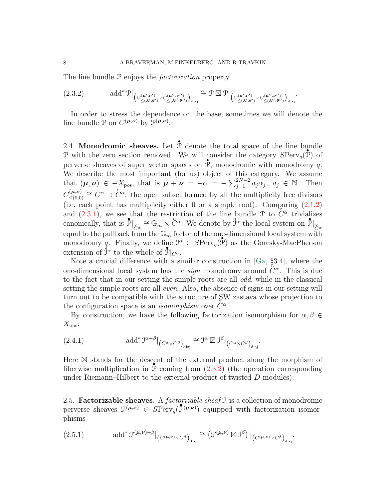The line bundle  $P$  enjoys the *factorization* property

<span id="page-7-0"></span>(2.3.2) 
$$
\text{add}^* \mathcal{P} \big|_{\left(C_{\leq (\lambda',\theta')}^{(\mu',\nu')} \times C_{\leq (\lambda'',\theta'')}^{(\mu'',\nu'')} \right)_{\text{disj}}} \cong \mathcal{P} \boxtimes \mathcal{P} \big|_{\left(C_{\leq (\lambda',\theta')}^{(\mu',\nu')} \times C_{\leq (\lambda'',\theta'')}^{(\mu'',\nu'')} \right)_{\text{disj}}}.
$$

In order to stress the dependence on the base, sometimes we will denote the line bundle  $P$  on  $C^{(\mu,\nu)}$  by  $\mathcal{P}^{(\mu,\nu)}$ .

<span id="page-7-3"></span>2.4. Monodromic sheaves. Let  $\overline{\mathcal{P}}$  denote the total space of the line bundle P with the zero section removed. We will consider the category  $SPerv_q(\tilde{\mathcal{P}})$  of perverse sheaves of super vector spaces on  $\overline{\mathcal{P}}$ , monodromic with monodromy q. We describe the most important (for us) object of this category. We assume that  $(\mu, \nu) \in -X_{\text{pos}}$ , that is  $\mu + \nu = -\alpha = -\sum_{j=1}^{2N-2} a_j \alpha_j$ ,  $a_j \in \mathbb{N}$ . Then  $C_{\leq (0,0)}^{(\mu,\nu)}$  $C^{(\mu,\nu)}_{\leq (0,0)} \cong C^{\alpha} \supset \overset{\circ}{C}{}^{\alpha}$ : the open subset formed by all the multiplicity free divisors (i.e. each point has multiplicity either 0 or a simple root). Comparing  $(2.1.2)$ and  $(2.3.1)$ , we see that the restriction of the line bundle  $\mathcal{P}$  to  $\tilde{C}^{\alpha}$  trivializes canonically, that is  $\mathcal{P}|_{\mathcal{C}^{\alpha}} \cong \mathbb{G}_m \times \mathcal{C}^{\alpha}$ . We denote by  $\hat{\mathcal{J}}^{\alpha}$  the local system on  $\mathcal{P}|_{\mathcal{C}^{\alpha}}$ equal to the pullback from the  $\mathbb{G}_m$  factor of the one-dimensional local system with monodromy q. Finally, we define  $\mathcal{I}^{\alpha} \in SPerv_q(\mathcal{P})$  as the Goresky-MacPherson extension of  $\overrightarrow{\mathcal{I}}^{\alpha}$  to the whole of  $\overrightarrow{\mathcal{I}}|_{C^{\alpha}}$ .

Note a crucial difference with a similar construction in [\[Ga,](#page-24-3) §3.4], where the one-dimensional local system has the *sign* monodromy around  $\tilde{C}^{\alpha}$ . This is due to the fact that in our setting the simple roots are all odd, while in the classical setting the simple roots are all *even*. Also, the absence of signs in our setting will turn out to be compatible with the structure of SW zastava whose projection to the configuration space is an *isomorphism* over  $\tilde{C}^{\alpha}$ .

By construction, we have the following factorization isomorphism for  $\alpha, \beta \in$  $X_{\text{pos}}$ :

<span id="page-7-1"></span>(2.4.1) 
$$
\text{add}^* \mathcal{I}^{\alpha+\beta} |_{(C^{\alpha} \times C^{\beta})_{\text{disj}}} \cong \mathcal{I}^{\alpha} \boxtimes \mathcal{I}^{\beta} |_{(C^{\alpha} \times C^{\beta})_{\text{disj}}}.
$$

Here  $\boxtimes$  stands for the descent of the external product along the morphism of fiberwise multiplication in  $\hat{P}$  coming from  $(2.3.2)$  (the operation corresponding under Riemann–Hilbert to the external product of twisted D-modules).

<span id="page-7-2"></span>2.5. Factorizable sheaves. A *factorizable sheaf*  $\mathcal F$  is a collection of monodromic perverse sheaves  $\mathcal{F}^{(\mu,\nu)} \in SPerv_q(\mathcal{P}^{(\mu,\nu)})$  equipped with factorization isomorphisms

(2.5.1) 
$$
\text{add}^* \mathcal{F}^{(\mu,\nu)-\beta}|_{(C^{(\mu,\nu)} \times C^{\beta})_{\text{disj}}} \cong (\mathcal{F}^{(\mu,\nu)} \boxtimes \mathcal{I}^{\beta})|_{(C^{(\mu,\nu)} \times C^{\beta})_{\text{disj}}},
$$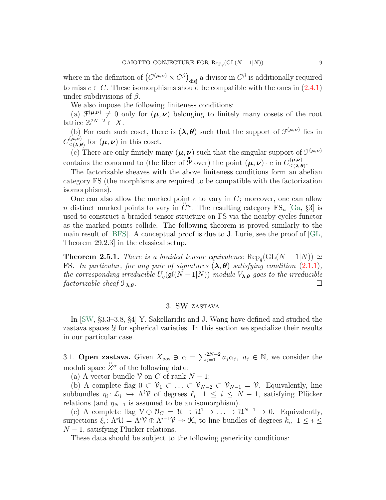where in the definition of  $(C^{(\mu,\nu)} \times C^{\beta})_{\text{disj}}$  a divisor in  $C^{\beta}$  is additionally required to miss  $c \in C$ . These isomorphisms should be compatible with the ones in  $(2.4.1)$ under subdivisions of  $\beta$ .

We also impose the following finiteness conditions:

(a)  $\mathcal{F}^{(\mu,\nu)} \neq 0$  only for  $(\mu,\nu)$  belonging to finitely many cosets of the root lattice  $\mathbb{Z}^{2N-2} \subset X$ .

(b) For each such coset, there is  $(\lambda, \theta)$  such that the support of  $\mathcal{F}^{(\mu,\nu)}$  lies in  $C^{(\mu,\nu)}_{\leq (\lambda,\ell)}$  $\sum_{n\leq (\lambda,\theta)}^{(\mu,\nu)}$  for  $(\mu,\nu)$  in this coset.

(c) There are only finitely many  $(\mu, \nu)$  such that the singular support of  $\mathcal{F}^{(\mu,\nu)}$ contains the conormal to (the fiber of  $\overrightarrow{\mathcal{P}}$  over) the point  $(\mu, \nu) \cdot c$  in  $C_{\leq \lambda}^{(\mu, \nu)}$  $\leq (\boldsymbol{\lambda},\boldsymbol{\theta})$  .

The factorizable sheaves with the above finiteness conditions form an abelian category FS (the morphisms are required to be compatible with the factorization isomorphisms).

One can also allow the marked point  $c$  to vary in  $C$ ; moreover, one can allow is the distinct marked points to vary in  $\tilde{C}^n$ . The resulting category FS<sub>n</sub> [\[Ga,](#page-24-3) §3] is used to construct a braided tensor structure on FS via the nearby cycles functor as the marked points collide. The following theorem is proved similarly to the main result of [\[BFS\]](#page-24-4). A conceptual proof is due to J. Lurie, see the proof of [\[GL,](#page-24-1) Theorem 29.2.3] in the classical setup.

<span id="page-8-1"></span>**Theorem 2.5.1.** There is a braided tensor equivalence  $\text{Rep}_q(\text{GL}(N-1|N)) \simeq$ FS. In particular, for any pair of signatures  $(\lambda, \theta)$  satisfying condition [\(2.1.1\)](#page-5-2), the corresponding irreducible  $U_q(\mathfrak{gl}(N-1|N))$ -module  $V_{\lambda,\theta}$  goes to the irreducible factorizable sheaf  $\mathfrak{F}_{\lambda,\theta}$ .

# 3. SW zastava

In [\[SW,](#page-25-0) §3.3–3.8, §4] Y. Sakellaridis and J. Wang have defined and studied the zastava spaces Y for spherical varieties. In this section we specialize their results in our particular case.

<span id="page-8-0"></span>3.1. **Open zastava.** Given  $X_{pos} \ni \alpha = \sum_{j=1}^{2N-2} a_j \alpha_j$ ,  $a_j \in \mathbb{N}$ , we consider the moduli space  $\mathring{Z}^{\alpha}$  of the following data:

(a) A vector bundle  $\mathcal V$  on C of rank  $N-1$ ;

(b) A complete flag  $0 \subset \mathcal{V}_1 \subset \ldots \subset \mathcal{V}_{N-2} \subset \mathcal{V}_{N-1} = \mathcal{V}$ . Equivalently, line subbundles  $\eta_i: \mathcal{L}_i \hookrightarrow \Lambda^i \mathcal{V}$  of degrees  $\ell_i$ ,  $1 \leq i \leq N-1$ , satisfying Plücker relations (and  $\eta_{N-1}$  is assumed to be an isomorphism).

(c) A complete flag  $\mathcal{V} \oplus \mathcal{O}_C = \mathcal{U} \supset \mathcal{U}^1 \supset \ldots \supset \mathcal{U}^{N-1} \supset 0$ . Equivalently, surjections  $\xi_i$ :  $\Lambda^i \mathcal{U} = \Lambda^i \mathcal{V} \oplus \Lambda^{i-1} \mathcal{V} \rightarrow \mathcal{K}_i$  to line bundles of degrees  $k_i$ ,  $1 \leq i \leq$  $N-1$ , satisfying Plücker relations.

These data should be subject to the following genericity conditions: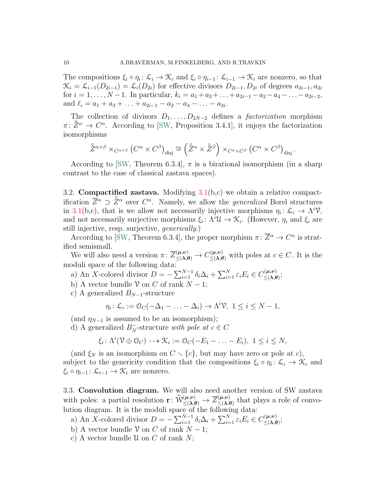The compositions  $\xi_i \circ \eta_i: \mathcal{L}_i \to \mathcal{K}_i$  and  $\xi_i \circ \eta_{i-1}: \mathcal{L}_{i-1} \to \mathcal{K}_i$  are nonzero, so that  $\mathcal{K}_i = \mathcal{L}_{i-1}(D_{2i-1}) = \mathcal{L}_i(D_{2i})$  for effective divisors  $D_{2i-1}, D_{2i}$  of degrees  $a_{2i-1}, a_{2i}$ for  $i = 1, \ldots, N-1$ . In particular,  $k_i = a_1 + a_3 + \ldots + a_{2i-1} - a_2 - a_4 - \ldots - a_{2i-2}$ , and  $\ell_i = a_1 + a_3 + \ldots + a_{2i-1} - a_2 - a_4 - \ldots - a_{2i}$ .

The collection of divisors  $D_1, \ldots, D_{2N-2}$  defines a *factorization* morphism  $\pi: \tilde{Z}^{\alpha} \to C^{\alpha}$ . According to [\[SW,](#page-25-0) Proposition 3.4.1], it enjoys the factorization isomorphisms

$$
\mathring{Z}^{\alpha+\beta} \times_{C^{\alpha+\beta}} (C^{\alpha} \times C^{\beta})_{\text{disj}} \cong (\mathring{Z}^{\alpha} \times \mathring{Z}^{\beta}) \times_{C^{\alpha} \times C^{\beta}} (C^{\alpha} \times C^{\beta})_{\text{disj}}.
$$

According to [\[SW,](#page-25-0) Theorem 6.3.4],  $\pi$  is a birational isomorphism (in a sharp contrast to the case of classical zastava spaces).

<span id="page-9-1"></span>3.2. **Compactified zastava.** Modifying  $3.1(b,c)$  $3.1(b,c)$  we obtain a relative compactification  $\overline{Z}^{\alpha} \supset \mathring{Z}^{\alpha}$  over  $C^{\alpha}$ . Namely, we allow the *generalized* Borel structures in [3.1\(](#page-8-0)b,c), that is we allow not necessarily injective morphisms  $\eta_i: \mathcal{L}_i \to \Lambda^i \mathcal{V}$ , and not necessarily surjective morphisms  $\xi_i: \Lambda^i \mathcal{U} \to \mathcal{K}_i$ . (However,  $\eta_i$  and  $\xi_i$  are still injective, resp. surjective, generically.)

According to [\[SW,](#page-25-0) Theorem 6.3.4], the proper morphism  $\pi: \overline{Z}^{\alpha} \to C^{\alpha}$  is stratified semismall.

We will also need a version  $\pi: \overline{Z}^{(\mu,\nu)}_{\leq(\lambda,\theta)} \to C^{(\mu,\nu)}_{\leq(\lambda,\theta)}$  with poles at  $c \in C$ . It is the moduli space of the following data:

- a) An X-colored divisor  $D = -\sum_{i=1}^{N-1} \delta_i \Delta_i + \sum_{i=1}^{N} \varepsilon_i E_i \in C_{\leq (\lambda, \ell)}^{(\mu, \nu)}$  $\leq^{\scriptscriptstyle\mathcal{F}}\!\!(\lambda,\theta)$
- b) A vector bundle  $\mathcal V$  on C of rank  $N-1$ ;
- c) A generalized  $B_{N-1}$ -structure

$$
\eta_i \colon \mathcal{L}_i := \mathcal{O}_C(-\Delta_1 - \ldots - \Delta_i) \to \Lambda^i \mathcal{V}, \ 1 \leq i \leq N - 1,
$$

(and  $\eta_{N-1}$  is assumed to be an isomorphism);

d) A generalized  $B_N^-$ -structure with pole at  $c \in C$ 

$$
\xi_i\colon \Lambda^i(\mathcal{V}\oplus\mathcal{O}_C)\dashrightarrow \mathcal{K}_i:=\mathcal{O}_C(-E_1-\ldots-E_i),\ 1\leq i\leq N,
$$

(and  $\xi_N$  is an isomorphism on  $C \setminus \{c\}$ , but may have zero or pole at c), subject to the genericity condition that the compositions  $\xi_i \circ \eta_i : \mathcal{L}_i \to \mathcal{K}_i$  and  $\xi_i \circ \eta_{i-1} : \mathcal{L}_{i-1} \to \mathcal{K}_i$  are nonzero.

<span id="page-9-0"></span>3.3. Convolution diagram. We will also need another version of SW zastava with poles: a partial resolution  $\mathbf{r}: \widehat{\mathcal{W}}_{\leq (\lambda,\theta)}^{(\mu,\nu)} \to \overline{\mathcal{Z}}_{\leq (\lambda,\theta)}^{(\mu,\nu)}$  $(\mu,\nu)$  that plays a role of convolution diagram. It is the moduli space of the following data:

- a) An X-colored divisor  $D = -\sum_{i=1}^{N-1} \delta_i \Delta_i + \sum_{i=1}^{N} \varepsilon_i E_i \in C_{\leq (\lambda, \ell)}^{(\mu, \nu)}$  $\leq^{\scriptscriptstyle\mathcal{F}}\!\!(\lambda,\theta)$  ;
- b) A vector bundle  $\mathcal V$  on C of rank  $N-1$ ;
- c) A vector bundle  $\mathcal U$  on  $C$  of rank  $N$ ;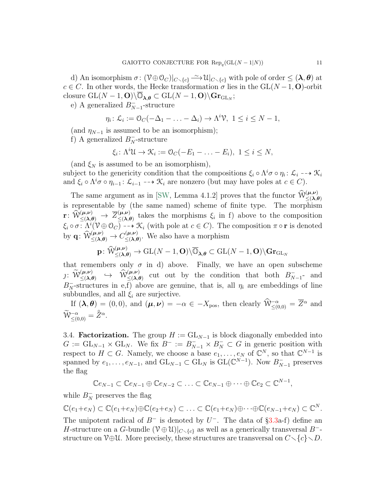d) An isomorphism  $\sigma: (\mathcal{V} \oplus \mathcal{O}_C)|_{C \setminus \{c\}} \longrightarrow \mathcal{U}|_{C \setminus \{c\}}$  with pole of order  $\leq (\lambda, \theta)$  at  $c \in C$ . In other words, the Hecke transformation  $\sigma$  lies in the  $GL(N-1, 0)$ -orbit closure  $\mathrm{GL}(N-1,\mathbf{O})\backslash\overline{\mathbb{O}}_{\lambda,\theta}\subset \mathrm{GL}(N-1,\mathbf{O})\backslash\mathbf{Gr}_{\mathrm{GL}_N};$ 

e) A generalized  $B_N^ \bar{N}-1$ -structure

$$
\eta_i \colon \mathcal{L}_i := \mathcal{O}_C(-\Delta_1 - \ldots - \Delta_i) \to \Lambda^i \mathcal{V}, \ 1 \leq i \leq N - 1,
$$

(and  $\eta_{N-1}$  is assumed to be an isomorphism);

f) A generalized  $B_N^-$ -structure

$$
\xi_i\colon \Lambda^i\mathfrak{U}\to \mathfrak{K}_i:=\mathfrak{O}_C(-E_1-\ldots-E_i),\ 1\leq i\leq N,
$$

(and  $\xi_N$  is assumed to be an isomorphism),

subject to the genericity condition that the compositions  $\xi_i \circ \Lambda^i \sigma \circ \eta_i$ :  $\mathcal{L}_i \dashrightarrow \mathcal{K}_i$ and  $\xi_i \circ \Lambda^i \sigma \circ \eta_{i-1} : \mathcal{L}_{i-1} \dashrightarrow \mathcal{K}_i$  are nonzero (but may have poles at  $c \in C$ ).

The same argument as in [\[SW,](#page-25-0) Lemma 4.1.2] proves that the functor  $\hat{W}^{(\mu,\nu)}_{\leq (\lambda,\theta)}$ is representable by (the same named) scheme of finite type. The morphism  $\mathrm{r} \colon \widehat{\mathcal{W}}^{(\mu,\nu)}_{\leq (\lambda,\theta)} \, \to \, \overline{Z}^{(\mu,\nu)}_{\leq (\lambda,\theta)}$  $(\mu,\nu)$  takes the morphisms  $\xi_i$  in f) above to the composition  $\xi_i \circ \sigma : \Lambda^i(\mathcal{V} \oplus \mathcal{O}_C) \dashrightarrow \mathcal{K}_i$  (with pole at  $c \in C$ ). The composition  $\pi \circ \mathbf{r}$  is denoted by  $\mathbf{q} \colon \widehat{\mathcal{W}}_{\leq (\boldsymbol{\lambda}, \boldsymbol{\theta})}^{(\boldsymbol{\mu}, \boldsymbol{\nu})} \to C_{\leq (\boldsymbol{\lambda}, \boldsymbol{\theta})}^{(\boldsymbol{\mu}, \boldsymbol{\nu})}$  $\leq (\lambda, \theta)$ . We also have a morphism

$$
\mathbf{p} \colon \widehat{\mathcal{W}}^{(\boldsymbol{\mu}, \boldsymbol{\nu})}_{\leq (\boldsymbol{\lambda}, \boldsymbol{\theta})} \to \mathrm{GL}(N-1, \mathbf{O}) \backslash \overline{\mathbb{O}}_{\boldsymbol{\lambda}, \boldsymbol{\theta}} \subset \mathrm{GL}(N-1, \mathbf{O}) \backslash \mathbf{Gr}_{\mathrm{GL}_N}
$$

that remembers only  $\sigma$  in d) above. Finally, we have an open subscheme  $j: \ \widetilde{\mathcal{W}}^{(\mu,\nu)}_{\leq (\pmb{\lambda},\pmb{\theta})} \ \ \hookrightarrow \ \ \widetilde{\mathcal{W}}^{(\mu,\nu)}_{\leq (\pmb{\lambda},\pmb{\theta})} \ \ \text{cut \ out \ by \ the \ condition \ that \ both} \ \ B^-_N$  $N-1$ <sup>-</sup> and  $B_N^-$ -structures in e,f) above are genuine, that is, all  $\eta_i$  are embeddings of line subbundles, and all  $\xi_i$  are surjective.

If  $(\lambda, \theta) = (0, 0)$ , and  $(\mu, \nu) = -\alpha \in -X_{\text{pos}}$ , then clearly  $\widehat{W}^{-\alpha}_{\leq (0,0)} = \overline{Z}^{\alpha}$  and  $\widetilde{\mathcal{W}}_{\leq(0,0)}^{-\alpha} = \mathring{Z}^{\alpha}.$ 

<span id="page-10-0"></span>3.4. **Factorization.** The group  $H := GL_{N-1}$  is block diagonally embedded into  $G := GL_{N-1} \times GL_N$ . We fix  $B^- := B^-_{N-1} \times B^-_N \subset G$  in generic position with respect to  $H \subset G$ . Namely, we choose a base  $e_1, \ldots, e_N$  of  $\mathbb{C}^N$ , so that  $\mathbb{C}^{N-1}$  is spanned by  $e_1, \ldots, e_{N-1}$ , and  $GL_{N-1} \subset GL_N$  is  $GL(\mathbb{C}^{N-1})$ . Now  $B_{N-1}^-$  preserves the flag

$$
\mathbb{C}e_{N-1} \subset \mathbb{C}e_{N-1} \oplus \mathbb{C}e_{N-2} \subset \ldots \subset \mathbb{C}e_{N-1} \oplus \cdots \oplus \mathbb{C}e_2 \subset \mathbb{C}^{N-1},
$$

while  $B_N^-$  preserves the flag

$$
\mathbb{C}(e_1+e_N)\subset \mathbb{C}(e_1+e_N)\oplus \mathbb{C}(e_2+e_N)\subset \ldots \subset \mathbb{C}(e_1+e_N)\oplus \cdots \oplus \mathbb{C}(e_{N-1}+e_N)\subset \mathbb{C}^N.
$$

The unipotent radical of  $B^-$  is denoted by  $U^-$ . The data of §[3.3a](#page-9-0)-f) define an H-structure on a G-bundle  $(\mathcal{V} \oplus \mathcal{U})|_{C \setminus \{c\}}$  as well as a generically transversal  $B^-$ structure on  $\mathcal{V}\oplus\mathcal{U}$ . More precisely, these structures are transversal on  $C\setminus\{c\}\setminus D$ .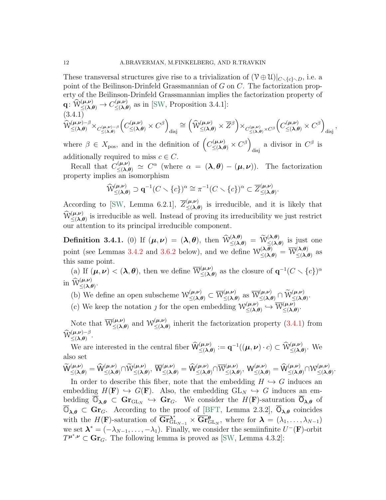These transversal structures give rise to a trivialization of  $(\mathcal{V} \oplus \mathcal{U})|_{C \setminus \{c\} \setminus D}$ , i.e. a point of the Beilinson-Drinfeld Grassmannian of G on C. The factorization property of the Beilinson-Drinfeld Grassmannian implies the factorization property of  $\mathbf{q} \colon \widehat{\mathcal{W}}^{(\boldsymbol{\mu}, \boldsymbol{\nu})}_{\leq (\boldsymbol{\lambda}, \boldsymbol{\theta})} \rightarrow C^{(\boldsymbol{\mu}, \boldsymbol{\nu})}_{\leq (\boldsymbol{\lambda}, \boldsymbol{\theta})}$  $(\mathbf{A}, \mathbf{B}) \leq (\mathbf{\lambda}, \mathbf{\theta})$  as in [\[SW,](#page-25-0) Proposition 3.4.1]: (3.4.1)

<span id="page-11-0"></span>
$$
\widehat{\mathcal{W}}^{(\mu,\nu)-\beta}_{\leq(\pmb{\lambda},\pmb{\theta})}\times_{C^{(\mu,\nu)-\beta}_{\leq(\pmb{\lambda},\pmb{\theta})}}\left(C^{(\mu,\nu)}_{\leq(\pmb{\lambda},\pmb{\theta})}\times C^{\beta}\right)_{\text{disj}}\cong \left(\widehat{\mathcal{W}}^{(\mu,\nu)}_{\leq(\pmb{\lambda},\pmb{\theta})}\times \overline{Z}^{\beta}\right)\times_{C^{(\mu,\nu)}_{\leq(\pmb{\lambda},\pmb{\theta})}\times C^{\beta}}\left(C^{(\mu,\nu)}_{\leq(\pmb{\lambda},\pmb{\theta})}\times C^{\beta}\right)_{\text{disj}},
$$

where  $\beta \in X_{\text{pos}}$ , and in the definition of  $\left(C_{\leq (\lambda,\theta)}^{(\mu,\nu)} \times C^{\beta}\right)$ a divisor in  $C^{\beta}$  is additionally required to miss  $c \in C$ .

Recall that  $C_{\leq (\lambda,\theta)}^{(\mu,\nu)} \simeq C^{\alpha}$  (where  $\alpha = (\lambda,\theta) - (\mu,\nu)$ ). The factorization property implies an isomorphism

$$
\widehat{\mathcal{W}}_{\leq(\pmb{\lambda},\pmb{\theta})}^{(\pmb{\mu},\pmb{\nu})} \supset \mathbf{q}^{-1}(C \smallsetminus \{c\})^{\alpha} \cong \pi^{-1}(C \smallsetminus \{c\})^{\alpha} \subset \overline{Z}_{\leq(\pmb{\lambda},\pmb{\theta})}^{(\pmb{\mu},\pmb{\nu})}.
$$

According to [\[SW,](#page-25-0) Lemma 6.2.1],  $\overline{Z}^{(\mu,\nu)}_{\leq\lambda}$  $(\mu,\nu)$  is irreducible, and it is likely that  $\widehat{\mathcal{W}}_{\leq (\lambda,\theta)}^{(\mu,\nu)}$  is irreducible as well. Instead of proving its irreducibility we just restrict our attention to its principal irreducible component.

<span id="page-11-1"></span>**Definition 3.4.1.** (0) If  $(\mu, \nu) = (\lambda, \theta)$ , then  $\widehat{\mathcal{W}}_{\leq (\lambda, \theta)}^{(\lambda, \theta)} = \widetilde{\mathcal{W}}_{\leq (\lambda, \theta)}^{(\lambda, \theta)}$  is just one point (see Lemmas [3.4.2](#page-12-0) and [3.6.2](#page-13-0) below), and we define  $\mathcal{W}^{(\lambda,\theta)}_{\leq(\lambda,\theta)} = \overline{\mathcal{W}}^{(\lambda,\theta)}_{\leq(\lambda,\theta)}$  $\langle \lambda, \theta \rangle$  as  $\leq (\lambda, \theta)$ this same point.

(a) If  $(\mu, \nu) < (\lambda, \theta)$ , then we define  $\overline{\mathcal{W}}_{\leq \lambda}^{(\mu, \nu)}$  $(\mu,\nu)$  as the closure of  $\mathbf{q}^{-1}(C \setminus \{c\})^{\alpha}$ in  $\widehat{\mathcal{W}}^{(\mu,\nu)}_{\leq (\lambda,\theta)}$ .

(b) We define an open subscheme  $\mathcal{W}^{(\mu,\nu)}_{\leq(\lambda,\theta)} \subset \overline{\mathcal{W}}^{(\mu,\nu)}_{\leq(\lambda,\theta)}$  $(\mu,\nu) \leq (\lambda,\theta) \text{ as } \overline{\mathcal{W}}^{(\mu,\nu)}_{\leq (\lambda,\theta)} \cap \widetilde{\mathcal{W}}^{(\mu,\nu)}_{\leq (\lambda,\theta)}.$ 

(c) We keep the notation *f* for the open embedding  $\mathcal{W}^{(\mu,\nu)}_{\leq \lambda}$  $\begin{array}{c} (\boldsymbol{\mu} ,\boldsymbol{\nu}) \ \leq (\boldsymbol{\lambda} ,\boldsymbol{\theta}) \end{array} \hookrightarrow \frac{\overline{\mathcal{W}}(\boldsymbol{\mu} ,\boldsymbol{\nu})}{\mathcal{W}}_{\leq (\boldsymbol{\lambda} ,\boldsymbol{\ell})}$  $(\mu,\nu)$ <br> $\leq (\lambda,\theta)$ 

Note that  $\overline{W}^{(\mu,\nu)}_{\leq \Delta}$  $(\mu,\nu)$  and  $\mathcal{W}^{(\mu,\nu)}_{\leq(\lambda,\theta)}$  $(\mu,\nu)$  inherit the factorization property  $(3.4.1)$  from  $\widehat{\mathcal{W}}^{(\mu,\nu)-\beta}$  $(\mu,\nu)$  -  $\beta$ .<br> $\leq (\lambda,\theta)$ .

We are interested in the central fiber  $\widehat{\mathsf{W}}^{(\mu,\nu)}_{\leq(\lambda,\theta)} := \mathbf{q}^{-1}((\mu,\nu)\cdot c) \subset \widehat{\mathcal{W}}^{(\mu,\nu)}_{\leq(\lambda,\theta)}$ . We also set

 $\begin{array}{c} {\widetilde{\mathsf{W}}}_{\leq (\pmb{\lambda},\pmb{\theta})}^{(\pmb{\mu},\pmb{\nu})} = {\widehat{\mathsf{W}}}_{\leq (\pmb{\lambda},\pmb{\theta})}^{(\pmb{\mu},\pmb{\nu})} {\cap} {\widetilde{\mathsf{W}}}_{\leq (\pmb{\lambda},\pmb{\theta})}^{(\pmb{\mu},\pmb{\nu})}, \ {\overline{\mathsf{W}}}_{\leq (\pmb{\lambda},\pmb{\theta})}^{(\pmb{\mu},\pmb{\nu})} = {\widehat{\mathsf{W}}}_{\leq (\pmb{\lambda},\pmb{\theta})}^{(\pmb{\mu},\pmb{\nu})} {\cap} {\over$  $(\mu,\nu)\atop \leq (\boldsymbol{\lambda},\boldsymbol{\theta}) , \ \mathsf{W}^{(\boldsymbol{\mu},\boldsymbol{\nu})}_{\leq (\boldsymbol{\lambda},\boldsymbol{\theta})} = \widehat{\mathsf{W}}^{(\boldsymbol{\mu},\boldsymbol{\nu})}_{\leq (\boldsymbol{\lambda},\boldsymbol{\theta})} \cap \mathsf{W}^{(\boldsymbol{\mu},\boldsymbol{\nu})}_{\leq (\boldsymbol{\lambda},\boldsymbol{\theta})}$  $(\mu,\nu) \leq (\lambda,\theta)$ 

In order to describe this fiber, note that the embedding  $H \hookrightarrow G$  induces an embedding  $H(\mathbf{F}) \hookrightarrow G(\mathbf{F})$ . Also, the embedding  $GL_N \hookrightarrow G$  induces an embedding  $\overline{\mathbb{O}}_{\lambda,\theta} \subset \mathbf{Gr}_{\mathrm{GL}_N} \hookrightarrow \mathbf{Gr}_G$ . We consider the  $H(\mathbf{F})$ -saturation  $\overline{\mathbb{O}}_{\lambda,\theta}$  of  $\overline{\mathbb{O}}_{\lambda,\theta} \subset \mathbf{Gr}_G$ . According to the proof of [\[BFT,](#page-24-7) Lemma 2.3.2],  $\overline{\mathbb{O}}_{\lambda,\theta}$  coincides with the H(F)-saturation of  $\overline{\mathbf{Gr}}_{\mathrm{GL}_{N-1}}^{\lambda^*} \times \overline{\mathbf{Gr}}_{\mathrm{GL}_N}^{\theta}$ , where for  $\boldsymbol{\lambda} = (\lambda_1, \ldots, \lambda_{N-1})$ we set  $\lambda^* = (-\lambda_{N-1}, \ldots, -\lambda_1)$ . Finally, we consider the semiinfinite  $U^-(\mathbf{F})$ -orbit  $T^{\mu^*,\nu} \subset \mathbf{Gr}_G$ . The following lemma is proved as [\[SW,](#page-25-0) Lemma 4.3.2]: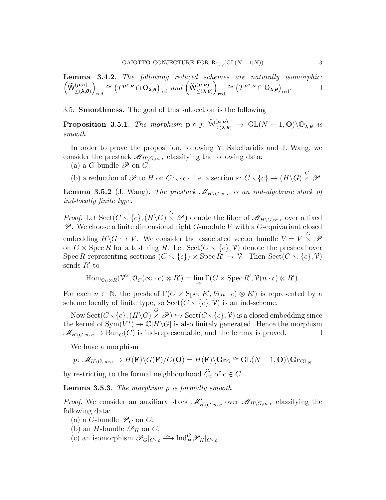<span id="page-12-0"></span>**Lemma 3.4.2.** The following reduced schemes are naturally isomorphic:  
\n
$$
\left(\widetilde{W}^{(\mu,\nu)}_{\leq(\lambda,\theta)}\right)_{\text{red}} \cong \left(T^{\mu^*,\nu} \cap \overline{O}_{\lambda,\theta}\right)_{\text{red}} \text{ and } \left(\widehat{W}^{(\mu,\nu)}_{\leq(\lambda,\theta)}\right)_{\text{red}} \cong \left(\overline{T}^{\mu^*,\nu} \cap \overline{O}_{\lambda,\theta}\right)_{\text{red}}.\square
$$

3.5. Smoothness. The goal of this subsection is the following

<span id="page-12-1"></span>**Proposition 3.5.1.** The morphism  $\mathbf{p} \circ j: \widetilde{W}^{(\mu,\nu)}_{\leq (\lambda,\theta)} \to \text{GL}(N-1,\mathbf{O})\backslash \overline{\mathbb{O}}_{\lambda,\theta}$  is smooth.

In order to prove the proposition, following Y. Sakellaridis and J. Wang, we consider the prestack  $\mathscr{M}_{H\setminus G,\infty\cdot c}$  classifying the following data:

(a) a *G*-bundle  $\mathscr P$  on *C*;

(b) a reduction of  $\mathscr P$  to H on  $C \setminus \{c\}$ , i.e. a section  $s: C \setminus \{c\} \to (H \setminus G) \times \mathscr P$ .

**Lemma 3.5.2** (J. Wang). The prestack  $\mathscr{M}_{H\setminus G,\infty \cdot c}$  is an ind-algebraic stack of ind-locally finite type.

*Proof.* Let Sect( $C \setminus \{c\}$ ,  $(H\setminus G) \times \mathcal{P}$ ) denote the fiber of  $\mathcal{M}_{H\setminus G,\infty \cdot c}$  over a fixed  $\mathscr{P}$ . We choose a finite dimensional right G-module V with a G-equivariant closed embedding  $H \backslash G \hookrightarrow V$ . We consider the associated vector bundle  $\mathcal{V} = V \times^G \mathcal{P}$ on  $C \times \operatorname{Spec} R$  for a test ring R. Let  $\operatorname{Sect}(C \setminus \{c\}, \mathcal{V})$  denote the presheaf over Spec R representing sections  $(C \setminus \{c\}) \times \operatorname{Spec} R' \to \mathcal{V}$ . Then  $\operatorname{Sect}(C \setminus \{c\}, \mathcal{V})$ sends  $R'$  to

$$
\operatorname{Hom}_{\mathcal{O}_C \otimes R}(\mathcal{V}^{\vee}, \mathcal{O}_C(\infty \cdot c) \otimes R') = \lim_{\rightarrow} \Gamma(C \times \operatorname{Spec} R', \mathcal{V}(n \cdot c) \otimes R').
$$

For each  $n \in \mathbb{N}$ , the presheaf  $\Gamma(C \times \operatorname{Spec} R', \mathcal{V}(n \cdot c) \otimes R')$  is represented by a scheme locally of finite type, so  $\text{Sect}(C\smallsetminus\{c\},\mathcal{V})$  is an ind-scheme.

Now  $\operatorname{Sect}(C\diagdown \{c\},(H\backslash G)\stackrel{G}{\times}\mathscr{P})\hookrightarrow \operatorname{Sect}(C\diagdown \{c\},\mathcal{V})$  is a closed embedding since the kernel of  $Sym(V^*) \to \mathbb{C}[H\backslash G]$  is also finitely generated. Hence the morphism  $\mathcal{M}_{H\setminus G,\infty\cdot c}\to \text{Bun}_G(C)$  is ind-representable, and the lemma is proved.  $\Box$ 

We have a morphism

$$
p\colon \mathscr{M}_{H\backslash G, \infty \cdot c} \to H(\mathbf{F})\backslash G(\mathbf{F})/G(\mathbf{O}) = H(\mathbf{F})\backslash \mathbf{Gr}_G \cong \mathrm{GL}(N-1, \mathbf{O})\backslash \mathbf{Gr}_{\mathrm{GL}_N}
$$

by restricting to the formal neighbourhood  $\widehat{C}_c$  of  $c \in C$ .

<span id="page-12-2"></span>Lemma 3.5.3. The morphism p is formally smooth.

*Proof.* We consider an auxiliary stack  $\mathscr{M}'_{H\setminus G,\infty\cdot c}$  over  $\mathscr{M}_{H\setminus G,\infty\cdot c}$  classifying the following data:

- (a) a *G*-bundle  $\mathscr{P}_G$  on *C*;
- (b) an *H*-bundle  $\mathscr{P}_H$  on *C*;
- (c) an isomorphism  $\mathscr{P}_G|_{C \setminus c} \longrightarrow \text{Ind}_H^G \mathscr{P}_H|_{C \setminus c}$ .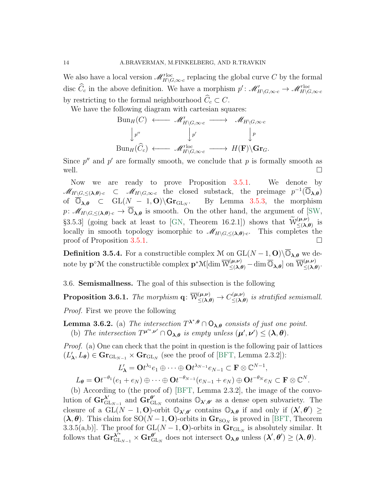We also have a local version  $\mathscr{M}'_{H\backslash G,\infty\cdot c}^{\text{loc}}$  replacing the global curve C by the formal disc  $\hat{C}_c$  in the above definition. We have a morphism  $p' : \mathscr{M}'_{H \setminus G, \infty \cdot c} \to \mathscr{M}'_{H \setminus G, \infty \cdot c}$ by restricting to the formal neighbourhood  $\widehat{C}_c \subset C$ .

We have the following diagram with cartesian squares:

$$
\text{Bun}_H(C) \longleftrightarrow \mathscr{M}_{H\backslash G,\infty \cdot c} \longrightarrow \mathscr{M}_{H\backslash G,\infty \cdot c}
$$
\n
$$
\downarrow^{p'} \qquad \qquad \downarrow^{p'} \qquad \qquad \downarrow^{p}
$$
\n
$$
\text{Bun}_H(\widehat{C}_c) \longleftrightarrow \mathscr{M}_{H\backslash G,\infty \cdot c} \longrightarrow H(\mathbf{F})\backslash \mathbf{Gr}_G.
$$

Since  $p''$  and  $p'$  are formally smooth, we conclude that p is formally smooth as well.  $\Box$ 

Now we are ready to prove Proposition [3.5.1.](#page-12-1) We denote by  $\mathscr{M}_{H\backslash G,\leq(\boldsymbol{\lambda},\boldsymbol{\theta})\cdot c}$   $\subset$   $\mathscr{M}_{H\backslash G,\infty\cdot c}$  the closed substack, the preimage  $p^{-1}(\overline{\mathbb{O}}_{\boldsymbol{\lambda},\boldsymbol{\theta}})$ of  $\overline{\mathbb{O}}_{\lambda,\theta}$   $\subset$  GL(N – 1, O)\ $\mathbf{Gr}_{\mathrm{GL}_N}$ . By Lemma [3.5.3,](#page-12-2) the morphism  $p: \mathscr{M}_{H\setminus G,\leq(\lambda,\theta)^c} \to \overline{\mathbb{O}}_{\lambda,\theta}$  is smooth. On the other hand, the argument of [\[SW,](#page-25-0) §3.5.3] (going back at least to [\[GN,](#page-25-5) Theorem 16.2.1]) shows that  $\widetilde{W}^{(\mu,\nu)}_{\leq (\lambda,\theta)}$  is locally in smooth topology isomorphic to  $\mathscr{M}_{H\setminus G,\leq(\lambda,\theta)}$ . This completes the proof of Proposition [3.5.1.](#page-12-1)

<span id="page-13-2"></span>**Definition 3.5.4.** For a constructible complex M on  $GL(N-1, 0)\setminus\overline{\mathbb{O}}_{\lambda,\theta}$  we denote by  $\mathbf{p}^{\circ}\mathcal{M}$  the constructible complex  $\mathbf{p}^*\mathcal{M}[\dim \overline{\mathcal{W}}_{\leq(\boldsymbol{\lambda},\boldsymbol{\theta})}^{(\boldsymbol{\mu},\boldsymbol{\nu})}-\dim \overline{\mathbb{O}}_{\boldsymbol{\lambda},\boldsymbol{\theta}}]$  on  $\overline{\mathcal{W}}_{\leq(\boldsymbol{\lambda},\boldsymbol{\ell})}^{(\boldsymbol{\mu},\boldsymbol{\nu})}$  $(\mu,\nu)$ <br> $\leq (\lambda,\theta)$ 

3.6. Semismallness. The goal of this subsection is the following

<span id="page-13-1"></span> $\textbf{Proposition 3.6.1.} \ \textit{The morphism} \ \textbf{q} \colon \overline{\mathcal{W}}^{(\boldsymbol{\mu}, \boldsymbol{\nu})}_{\leq (\boldsymbol{\lambda}, \boldsymbol{\theta})} \rightarrow C^{(\boldsymbol{\mu}, \boldsymbol{\nu})}_{\leq (\boldsymbol{\lambda}, \boldsymbol{\theta})}$  $\leqslant(\lambda,\theta)$  is stratified semismall.

Proof. First we prove the following

<span id="page-13-0"></span>**Lemma 3.6.2.** (a) The intersection  $T^{\lambda^*,\theta} \cap O_{\lambda,\theta}$  consists of just one point. (b) The intersection  $T^{\mu^{**},\nu'} \cap O_{\lambda,\theta}$  is empty unless  $(\mu',\nu') \leq (\lambda,\theta)$ .

Proof. (a) One can check that the point in question is the following pair of lattices  $(L'_{\lambda}, L_{\theta}) \in \mathbf{Gr}_{\mathrm{GL}_{N-1}} \times \mathbf{Gr}_{\mathrm{GL}_N}$  (see the proof of [\[BFT,](#page-24-7) Lemma 2.3.2]):

$$
L'_{\lambda} = \mathbf{O}t^{\lambda_1}e_1 \oplus \cdots \oplus \mathbf{O}t^{\lambda_{N-1}}e_{N-1} \subset \mathbf{F} \otimes \mathbb{C}^{N-1},
$$
  
\n
$$
L_{\theta} = \mathbf{O}t^{-\theta_1}(e_1 + e_N) \oplus \cdots \oplus \mathbf{O}t^{-\theta_{N-1}}(e_{N-1} + e_N) \oplus \mathbf{O}t^{-\theta_N}e_N \subset \mathbf{F} \otimes \mathbb{C}^N.
$$

(b) According to (the proof of) [\[BFT,](#page-24-7) Lemma 2.3.2], the image of the convolution of  $\text{Gr}_{\mathcal{G}}^{\lambda'}$  $\lambda'_{\mathrm{GL}_{N-1}}$  and  $\mathbf{Gr}^{\theta'}_{\mathrm{G}}$  $\mathbf{e}_{\mathrm{GL}_N}^{\prime\prime}$  contains  $\mathbb{O}_{\lambda',\theta'}$  as a dense open subvariety. The closure of a  $\widetilde{GL}(N-1, \mathbf{O})$ -orbit  $\mathbb{O}_{\mathbf{\lambda}',\theta'}$  contains  $\mathbb{O}_{\mathbf{\lambda},\theta}$  if and only if  $(\mathbf{\lambda}',\theta') \geq$  $(\lambda, \theta)$ . This claim for SO(N – 1, O)-orbits in  $\mathbf{Gr}_{\text{SO}_N}$  is proved in [\[BFT,](#page-24-7) Theorem 3.3.5(a,b)]. The proof for  $GL(N-1, 0)$ -orbits in  $\mathbf{Gr}_{GL_N}$  is absolutely similar. It  $\operatorname{follows\ that\ }\mathbf{Gr}^{\boldsymbol{\lambda}^{\prime\ast}}_{\mathrm{GL}_{N-1}}\times\mathbf{Gr}^{\boldsymbol{\theta}^{\prime}}_{\mathrm{G}}$  $\frac{\theta'}{g_{\text{L}_N}}$  does not intersect  $O_{\lambda,\theta}$  unless  $(\lambda', \theta') \geq (\lambda, \theta)$ .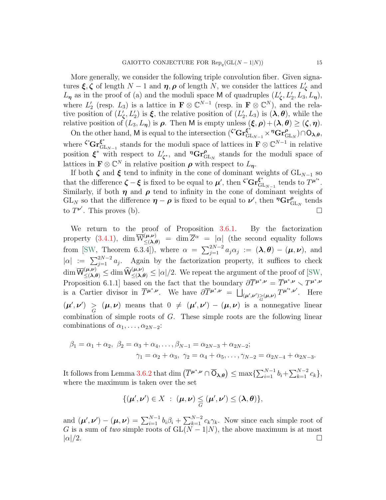More generally, we consider the following triple convolution fiber. Given signatures  $\xi, \zeta$  of length  $N-1$  and  $\eta, \rho$  of length N, we consider the lattices  $L'_{\zeta}$  and  $L_{\eta}$  as in the proof of (a) and the moduli space M of quadruples  $(L'_{\zeta}, L'_{2}, L_{3}, L_{\eta}),$ where  $L'_2$  (resp.  $L_3$ ) is a lattice in  $\mathbf{F} \otimes \mathbb{C}^{N-1}$  (resp. in  $\mathbf{F} \otimes \mathbb{C}^N$ ), and the relative position of  $(L'_\zeta, L'_2)$  is  $\xi$ , the relative position of  $(L'_2, L_3)$  is  $(\lambda, \theta)$ , while the relative position of  $(L_3, L_7)$  is  $\rho$ . Then M is empty unless  $(\xi, \rho) + (\lambda, \theta) \geq (\zeta, \eta)$ .

On the other hand, M is equal to the intersection  $({}^{\zeta^*}\mathbf{Gr}^{\xi^*}_{\mathrm{GL}_{N-1}} \times \mathcal{P}\mathbf{Gr}^{\rho}_{\mathrm{GL}_N}) \cap O_{\lambda,\theta}$ , where  $\zeta^*$ **Gr** $\xi^*$  ${\xi^*}_{\text{GL}_{N-1}}$  stands for the moduli space of lattices in  $\mathbf{F} \otimes \mathbb{C}^{N-1}$  in relative position  $\xi^*$  with respect to  $L'_{\zeta^*}$ , and  ${}^{\eta}Gr^{\rho}_{GL_N}$  stands for the moduli space of lattices in  $\mathbf{F} \otimes \mathbb{C}^N$  in relative position  $\rho$  with respect to  $L_{\eta}$ .

If both  $\zeta$  and  $\xi$  tend to infinity in the cone of dominant weights of  $GL_{N-1}$  so that the difference  $\zeta - \xi$  is fixed to be equal to  $\mu'$ , then  $\zeta^* \text{Gr}_{\text{GI}}^{\xi^*}$  ${\xi^*}_{\text{GL}_{N-1}}$  tends to  $T^{\mu'^*}$ . Similarly, if both  $\eta$  and  $\rho$  tend to infinity in the cone of dominant weights of  $GL_N$  so that the difference  $\eta - \rho$  is fixed to be equal to  $\nu'$ , then  ${}^{\eta}Gr_{GL_N}^{\rho}$  tends to  $T^{\nu'}$ . This proves (b).

We return to the proof of Proposition [3.6.1.](#page-13-1) By the factorization property [\(3.4.1\)](#page-11-0),  $\dim \overline{\mathcal{W}}_{\leq (\lambda,\theta)}^{(\mu,\nu)} = \dim \overline{Z}^{\alpha} = |\alpha|$  (the second equality follows from [\[SW,](#page-25-0) Theorem 6.3.4]), where  $\alpha = \sum_{j=1}^{2N-2} a_j \alpha_j := (\lambda, \theta) - (\mu, \nu)$ , and  $|\alpha| := \sum_{j=1}^{2N-2} a_j$ . Again by the factorization property, it suffices to check  $\dim \overline{W}_{\leq (\lambda,\theta)}^{(\mu,\nu)} \leq \dim \widehat{W}_{\leq (\lambda,\theta)}^{(\mu,\nu)} \leq |\alpha|/2$ . We repeat the argument of the proof of [\[SW,](#page-25-0) Proposition 6.1.1] based on the fact that the boundary  $\partial \overline{T}^{\mu^*, \nu} = \overline{T}^{\mu^*, \nu} \setminus T^{\mu^*, \nu}$ is a Cartier divisor in  $\overline{T}^{\mu^*,\nu}$ . We have  $\partial \overline{T}^{\mu^*,\nu} = \bigsqcup_{(\mu',\nu') \geq (\mu,\nu)} T^{\mu'^*,\nu'}$ . Here  $(\mu', \nu') \geq (\mu, \nu)$  means that  $0 \neq (\mu', \nu') - (\mu, \nu)$  is a nonnegative linear combination of simple roots of G. These simple roots are the following linear combinations of  $\alpha_1, \ldots, \alpha_{2N-2}$ :

$$
\beta_1 = \alpha_1 + \alpha_2, \ \beta_2 = \alpha_3 + \alpha_4, \dots, \beta_{N-1} = \alpha_{2N-3} + \alpha_{2N-2};
$$

$$
\gamma_1 = \alpha_2 + \alpha_3, \ \gamma_2 = \alpha_4 + \alpha_5, \dots, \gamma_{N-2} = \alpha_{2N-4} + \alpha_{2N-3}.
$$

It follows from Lemma [3.6.2](#page-13-0) that dim  $(\overline{T}^{\mu^*,\nu} \cap \overline{O}_{\lambda,\theta}) \leq \max\{\sum_{i=1}^{N-1} b_i + \sum_{k=1}^{N-2} c_k\},\$ where the maximum is taken over the set

$$
\{(\boldsymbol{\mu}',\boldsymbol{\nu}')\in X\;:\;(\boldsymbol{\mu},\boldsymbol{\nu})\leq(\boldsymbol{\mu}',\boldsymbol{\nu}')\leq(\boldsymbol{\lambda},\boldsymbol{\theta})\},
$$

and  $(\mu', \nu') - (\mu, \nu) = \sum_{i=1}^{N-1} b_i \beta_i + \sum_{k=1}^{N-2} c_k \gamma_k$ . Now since each simple root of G is a sum of two simple roots of  $GL(N-1|N)$ , the above maximum is at most  $|\alpha|/2$ .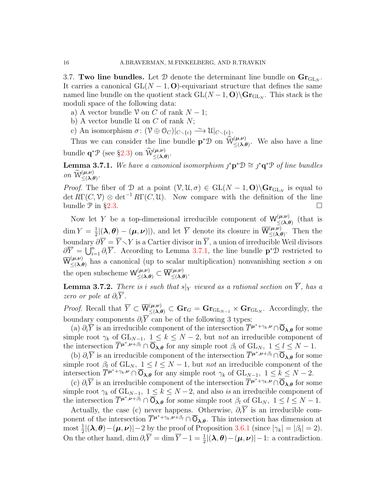<span id="page-15-1"></span>3.7. Two line bundles. Let  $\mathcal D$  denote the determinant line bundle on  $\mathbf{Gr}_{\mathrm{GL}_N}$ . It carries a canonical  $GL(N - 1, 0)$ -equivariant structure that defines the same named line bundle on the quotient stack  $GL(N-1, 0) \backslash \mathbf{Gr}_{\mathrm{GL}_N}$ . This stack is the moduli space of the following data:

- a) A vector bundle  $\mathcal V$  on C of rank  $N-1$ ;
- b) A vector bundle  $\mathcal U$  on  $C$  of rank  $N$ ;
- c) An isomorphism  $\sigma: (\mathcal{V} \oplus \mathcal{O}_C)|_{C \smallsetminus \{c\}} \stackrel{\sim}{\longrightarrow} \mathcal{U}|_{C \smallsetminus \{c\}}.$

Thus we can consider the line bundle  $\mathbf{p}^*\mathcal{D}$  on  $\widehat{\mathcal{W}}_{\leq(\lambda,\theta)}^{(\mu,\nu)}$ . We also have a line bundle  $\mathbf{q}^*\mathcal{P}$  (see §[2.3\)](#page-6-3) on  $\widehat{\mathcal{W}}_{\leq(\lambda,\theta)}^{(\mu,\nu)}$ .

<span id="page-15-0"></span>**Lemma 3.7.1.** We have a canonical isomorphism  $j^*p^*\mathcal{D} \cong j^*q^*\mathcal{P}$  of line bundles on  $\widetilde{\mathcal{W}}^{(\mu,\nu)}_{\leq(\lambda,\theta)}$ .

*Proof.* The fiber of D at a point  $(\mathcal{V}, \mathcal{U}, \sigma) \in GL(N-1, \mathbf{O})\backslash \mathbf{Gr}_{GL_N}$  is equal to  $\det R\Gamma(C,\mathcal{V})\otimes \det^{-1}R\Gamma(C,\mathcal{U})$ . Now compare with the definition of the line bundle  $\mathcal P$  in §[2.3.](#page-6-3)

Now let Y be a top-dimensional irreducible component of  $W^{(\mu,\nu)}_{\leq \Delta}$  $\sum_{\leq (\lambda,\theta)}^{(\mu,\nu)}$  (that is  $\dim Y = \frac{1}{2}$  $\frac{1}{2} |(\lambda, \theta) - (\mu, \nu)|$ , and let  $\overline{Y}$  denote its closure in  $\overline{W}^{(\mu, \nu)}_{\leq \lambda, \ell}$  $(\mathcal{L}, \mathcal{L}) \leq (\lambda, \theta)$ . Then the boundary  $\partial \overline{Y} = \overline{Y} \setminus Y$  is a Cartier divisor in  $\overline{Y}$ , a union of irreducible Weil divisors  $\partial \overline{Y} = \bigcup_{i=1}^n \partial_i \overline{Y}$ . According to Lemma [3.7.1,](#page-15-0) the line bundle  $\mathbf{p}^* \mathcal{D}$  restricted to  $\overline{\mathsf{W}}_{\leq (\lambda)}^{(\mu,\nu)}$  $(\mu, \nu)$  has a canonical (up to scalar multiplication) nonvanishing section s on the open subscheme  $\mathsf{W}^{(\mu,\nu)}_{\leq(\lambda,\theta)}\subset\overline{\mathsf{W}}^{(\mu,\nu)}_{\leq(\lambda,\theta)}$  $(\mu,\nu) \leq (\lambda,\theta)$ 

<span id="page-15-2"></span>**Lemma 3.7.2.** There is i such that  $s|_Y$  viewed as a rational section on  $\overline{Y}$ , has a zero or pole at  $\partial_i \overline{Y}$ .

*Proof.* Recall that  $\overline{Y} \subset \overline{W}_{\leq (\lambda,\theta)}^{(\mu,\nu)} \subset \mathbf{Gr}_G = \mathbf{Gr}_{GL_{N-1}} \times \mathbf{Gr}_{GL_N}$ . Accordingly, the boundary components  $\partial_i \overline{Y}$  can be of the following 3 types:

(a)  $\partial_i \overline{Y}$  is an irreducible component of the intersection  $\overline{T}^{\mu^*+\gamma_k,\nu} \cap \overline{O}_{\lambda,\theta}$  for some simple root  $\gamma_k$  of  $GL_{N-1}$ ,  $1 \leq k \leq N-2$ , but not an irreducible component of the intersection  $\overline{T}^{\mu^*,\nu+\beta_l} \cap \overline{O}_{\lambda,\theta}$  for any simple root  $\beta_l$  of  $GL_N$ ,  $1 \leq l \leq N-1$ .

(b)  $\partial_i \overline{Y}$  is an irreducible component of the intersection  $\overline{T}^{\mu^*,\nu+\beta_l} \cap \overline{O}_{\lambda,\theta}$  for some simple root  $\beta_l$  of  $GL_N$ ,  $1 \leq l \leq N-1$ , but not an irreducible component of the intersection  $\overline{T}^{\mu^*+\gamma_k,\nu} \cap \overline{\mathsf{O}}_{\lambda,\theta}$  for any simple root  $\gamma_k$  of  $\mathrm{GL}_{N-1}, 1 \leq k \leq N-2$ .

(c)  $\partial_i \overline{Y}$  is an irreducible component of the intersection  $\overline{T}^{\mu^*+\gamma_k,\nu} \cap \overline{O}_{\lambda,\theta}$  for some simple root  $\gamma_k$  of  $GL_{N-1}$ ,  $1 \leq k \leq N-2$ , and also is an irreducible component of the intersection  $\overline{T}^{\mu^*, \nu+\beta_l} \cap \overline{O}_{\lambda,\theta}$  for some simple root  $\beta_l$  of  $GL_N$ ,  $1 \leq l \leq N-1$ .

Actually, the case (c) never happens. Otherwise,  $\partial_i \overline{Y}$  is an irreducible component of the intersection  $\overline{T}^{\mu^*+\gamma_k,\nu+\beta_l}\cap \overline{O}_{\lambda,\theta}$ . This intersection has dimension at most  $\frac{1}{2} |(\lambda, \theta) - (\mu, \nu)| - 2$  by the proof of Proposition [3.6.1](#page-13-1) (since  $|\gamma_k| = |\beta_l| = 2$ ). On the other hand, dim  $\partial_i \overline{Y} = \dim \overline{Y} - 1 = \frac{1}{2} |(\lambda, \theta) - (\mu, \nu)| - 1$ : a contradiction.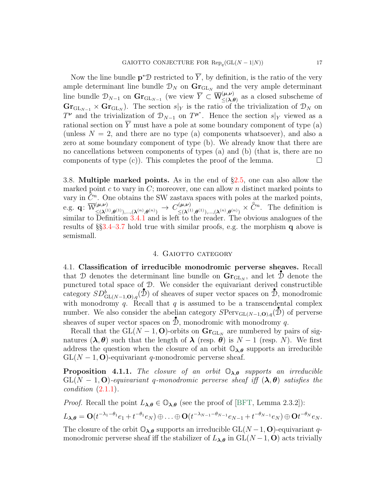Now the line bundle  $\mathbf{p}^*\mathcal{D}$  restricted to  $\overline{Y}$ , by definition, is the ratio of the very ample determinant line bundle  $\mathcal{D}_N$  on  $\mathbf{Gr}_{\mathrm{GL}_N}$  and the very ample determinant line bundle  $\mathcal{D}_{N-1}$  on  $\mathbf{Gr}_{\mathrm{GL}_{N-1}}$  (we view  $\overline{Y} \subset \overline{\mathsf{W}}_{\leq \lambda,\ell}^{(\mu,\nu)}$  $(\mu,\nu)$  as a closed subscheme of  $\mathbf{Gr}_{\mathrm{GL}_{N-1}} \times \mathbf{Gr}_{\mathrm{GL}_N}$ ). The section  $s|_Y$  is the ratio of the trivialization of  $\mathcal{D}_N$  on  $T^{\nu}$  and the trivialization of  $\mathcal{D}_{N-1}$  on  $T^{\mu^*}$ . Hence the section s|<sub>Y</sub> viewed as a rational section on  $\overline{Y}$  must have a pole at some boundary component of type (a) (unless  $N = 2$ , and there are no type (a) components whatsoever), and also a zero at some boundary component of type (b). We already know that there are no cancellations between components of types (a) and (b) (that is, there are no components of type  $(c)$ ). This completes the proof of the lemma.

3.8. Multiple marked points. As in the end of §[2.5,](#page-7-2) one can also allow the marked point c to vary in  $C$ ; moreover, one can allow n distinct marked points to wary in  $\tilde{C}^n$ . One obtains the SW zastava spaces with poles at the marked points, e.g.  $\mathbf{q} \colon \overline{\mathcal{W}}_{\leq (\lambda)}^{(\boldsymbol{\mu}, \boldsymbol{\nu})}$  $\begin{array}{rcl} \Gamma(\boldsymbol{\mu},\boldsymbol{\nu}) \ \leq & (\boldsymbol{\lambda}^{(1)},\boldsymbol{\theta}^{(1)}),... , (\boldsymbol{\lambda}^{(n)},\boldsymbol{\theta}^{(n)}) \end{array} \rightarrow \ \ C^{(\boldsymbol{\mu},\boldsymbol{\nu})}_{\leq (\boldsymbol{\lambda}^{(1)},\boldsymbol{\theta}^{(1)})}.$  $(\mu,\nu)$ <br>  $\leq (\lambda^{(1)},\theta^{(1)}),...,( \lambda^{(n)},\theta^{(n)}) \times \widehat{C}^n$ . The definition is similar to Definition [3.4.1](#page-11-1) and is left to the reader. The obvious analogues of the results of §§[3.4](#page-10-0)[–3.7](#page-15-1) hold true with similar proofs, e.g. the morphism q above is semismall.

# 4. GAIOTTO CATEGORY

4.1. Classification of irreducible monodromic perverse sheaves. Recall that D denotes the determinant line bundle on  $\mathbf{Gr}_{\mathrm{GL}_N}$ , and let D denote the punctured total space of  $\mathcal{D}$ . We consider the equivariant derived constructible category  $SD^b_{GL(N-1, O), q}(\mathcal{D})$  of sheaves of super vector spaces on  $\mathcal{D}$ , monodromic with monodromy q. Recall that q is assumed to be a transcendental complex number. We also consider the abelian category  $SPer_{GL(N-1,0),q}(\mathcal{D})$  of perverse sheaves of super vector spaces on  $\mathbb{D}$ , monodromic with monodromy q.

Recall that the  $GL(N-1, 0)$ -orbits on  $\mathbf{Gr}_{GL_N}$  are numbered by pairs of signatures  $(\lambda, \theta)$  such that the length of  $\lambda$  (resp.  $\theta$ ) is  $N-1$  (resp. N). We first address the question when the closure of an orbit  $\mathbb{O}_{\lambda,\theta}$  supports an irreducible  $GL(N-1, 0)$ -equivariant q-monodromic perverse sheaf.

**Proposition 4.1.1.** The closure of an orbit  $\mathbb{O}_{\lambda,\theta}$  supports an irreducible  $GL(N-1, 0)$ -equivariant q-monodromic perverse sheaf iff  $(\lambda, \theta)$  satisfies the condition [\(2.1.1\)](#page-5-2).

*Proof.* Recall the point  $L_{\lambda,\theta} \in \mathbb{O}_{\lambda,\theta}$  (see the proof of [\[BFT,](#page-24-7) Lemma 2.3.2]):

$$
L_{\lambda,\theta} = \mathbf{O}(t^{-\lambda_1-\theta_1}e_1+t^{-\theta_1}e_N)\oplus \ldots \oplus \mathbf{O}(t^{-\lambda_{N-1}-\theta_{N-1}}e_{N-1}+t^{-\theta_{N-1}}e_N)\oplus \mathbf{O}t^{-\theta_N}e_N.
$$

The closure of the orbit  $\mathbb{O}_{\lambda,\theta}$  supports an irreducible  $GL(N-1, 0)$ -equivariant qmonodromic perverse sheaf iff the stabilizer of  $L_{\lambda,\theta}$  in  $GL(N-1, 0)$  acts trivially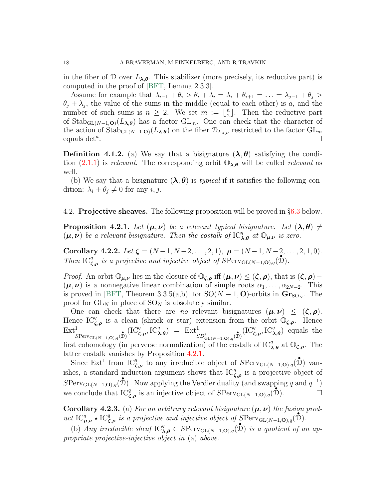in the fiber of D over  $L_{\lambda,\theta}$ . This stabilizer (more precisely, its reductive part) is computed in the proof of [\[BFT,](#page-24-7) Lemma 2.3.3].

Assume for example that  $\lambda_{i-1} + \theta_i > \theta_i + \lambda_i = \lambda_i + \theta_{i+1} = \ldots = \lambda_{j-1} + \theta_j >$  $\theta_j + \lambda_j$ , the value of the sums in the middle (equal to each other) is a, and the number of such sums is  $n \geq 2$ . We set  $m := \frac{n}{2}$  $\frac{n}{2}$ . Then the reductive part of  $\text{Stab}_{\text{GL}(N-1,\mathbf{O})}(L_{\lambda,\theta})$  has a factor  $\text{GL}_m$ . One can check that the character of the action of  $\text{Stab}_{\text{GL}(N-1,\mathbf{O})}(L_{\lambda,\theta})$  on the fiber  $\mathcal{D}_{L_{\lambda,\theta}}$  restricted to the factor  $\text{GL}_m$ equals det<sup>a</sup>.  $\lambda, \nu$ 

**Definition 4.1.2.** (a) We say that a bisignature  $(\lambda, \theta)$  satisfying the condition  $(2.1.1)$  is relevant. The corresponding orbit  $\mathbb{O}_{\lambda,\theta}$  will be called relevant as well.

(b) We say that a bisignature  $(\lambda, \theta)$  is *typical* if it satisfies the following condition:  $\lambda_i + \theta_j \neq 0$  for any  $i, j$ .

# 4.2. Projective sheaves. The following proposition will be proved in §[6.3](#page-23-0) below.

<span id="page-17-0"></span>**Proposition 4.2.1.** Let  $(\mu, \nu)$  be a relevant typical bisignature. Let  $(\lambda, \theta) \neq$  $(\mu, \nu)$  be a relevant bisignature. Then the costalk of  $\mathrm{IC}_{\lambda,\theta}^q$  at  $\mathbb{O}_{\mu,\nu}$  is zero.

<span id="page-17-2"></span>Corollary 4.2.2. Let  $\zeta = (N-1, N-2, \ldots, 2, 1), \rho = (N-1, N-2, \ldots, 2, 1, 0).$ Then  $\mathrm{IC}_{\zeta,\rho}^q$  is a projective and injective object of  $S\mathrm{Perv}_{\mathrm{GL}(N-1,\mathbf{O}),q}(\mathcal{D})$ .

*Proof.* An orbit  $\mathbb{O}_{\mu,\nu}$  lies in the closure of  $\mathbb{O}_{\zeta,\rho}$  iff  $(\mu,\nu) \leq (\zeta,\rho)$ , that is  $(\zeta,\rho)$  –  $(\mu, \nu)$  is a nonnegative linear combination of simple roots  $\alpha_1, \ldots, \alpha_{2N-2}$ . This is proved in [\[BFT,](#page-24-7) Theorem 3.3.5(a,b)] for  $SO(N-1, 0)$ -orbits in  $\mathbf{Gr}_{SO_N}$ . The proof for  $GL_N$  in place of  $SO_N$  is absolutely similar.

One can check that there are no relevant bisignatures  $(\mu, \nu) \leq (\zeta, \rho)$ . Hence  $IC_{\zeta,\rho}^q$  is a clean (shriek or star) extension from the orbit  $\mathbb{O}_{\zeta,\rho}$ . Hence  $Ext<sup>1</sup>$  $\frac{1}{S\text{Perv}_{\text{GL}(N-1,\mathbf{O}),q}(\mathcal{D})}(\text{IC}_{\zeta,\rho}^q, \text{IC}_{\lambda,\theta}^q) = \text{Ext}^1_{\substack{SD_{\text{GL}(N-1,\mathbf{O}),q}^b(\mathcal{D})}}(\text{IC}_{\zeta,\rho}^q, \text{IC}_{\lambda,\theta}^q)$  equals the first cohomology (in perverse normalization) of the costalk of  $IC_{\lambda,\theta}^q$  at  $\mathbb{O}_{\zeta,\rho}$ . The latter costalk vanishes by Proposition [4.2.1.](#page-17-0)

Since  $\text{Ext}^1$  from  $\text{IC}_{\zeta,\rho}^{\sigma}$  to any irreducible object of  $S\text{Perv}_{\text{GL}(N-1,\mathbf{O}),q}(\mathbf{\hat{D}})$  vanishes, a standard induction argument shows that  $IC_{\zeta,\rho}^q$  is a projective object of  $SPerv_{\mathrm{GL}(N-1,\mathbf{O}),q}(\mathbf{\hat{D}})$ . Now applying the Verdier duality (and swapping q and  $q^{-1}$ ) we conclude that  $IC_{\zeta,\rho}^q$  is an injective object of  $S\text{Perv}_{GL(N-1,\mathbf{O}),q}(\mathcal{D})$ .

<span id="page-17-1"></span>**Corollary 4.2.3.** (a) For an arbitrary relevant bisignature  $(\mu, \nu)$  the fusion product  $\text{IC}_{\mu,\nu}^q \star \text{IC}_{\zeta,\rho}^q$  is a projective and injective object of  $\text{SPerv}_{\text{GL}(N-1,\mathbf{O}),q}(\mathcal{D})$ .

(b) Any irreducible sheaf  $\text{IC}_{\lambda,\theta}^q \in S\text{Perv}_{\text{GL}(N-1,\mathbf{O}),q}(\mathcal{D})$  is a quotient of an appropriate projective-injective object in (a) above.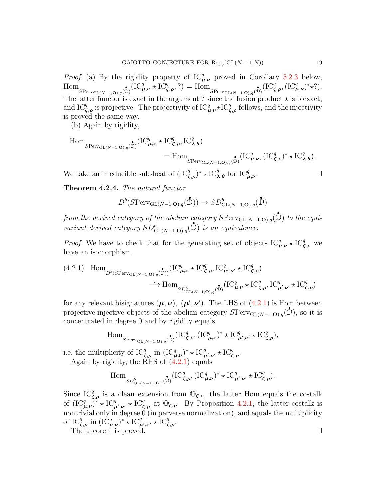*Proof.* (a) By the rigidity property of  $IC_{\mu,\nu}^q$  proved in Corollary [5.2.3](#page-21-1) below,  $\text{Hom}_{S\text{Perv}_{\text{GL}(N-1,\mathbf{O}),q}(\mathcal{D})}(\text{IC}_{\mu,\nu}^q \star \text{IC}_{\zeta,\rho}^q,?) = \text{Hom}_{S\text{Perv}_{\text{GL}(N-1,\mathbf{O}),q}(\mathcal{D})}(\text{IC}_{\zeta,\rho}^q, (\text{IC}_{\mu,\nu}^q)^* \star ?).$ The latter functor is exact in the argument ? since the fusion product  $\star$  is biexact, and IC<sup>q</sup><sub>*C*, $\rho$ </sub> is projective. The projectivity of IC<sub> $\mu,\nu$ </sub>  $\star$ IC<sub>*C*</sub><sub>*C*</sub>, follows, and the injectivity is proved the same way.

(b) Again by rigidity,

$$
\begin{aligned} \operatorname{Hom}_{S\mathrm{Perv}_{\mathrm{GL}(N-1,\mathbf{O}),q}(\mathcal{\mathring{D}})}& (\mathrm{IC}_{\pmb{\mu},\pmb{\nu}}^q\star \mathrm{IC}_{\pmb{\zeta},\pmb{\rho}}^q,\mathrm{IC}_{\pmb{\lambda},\pmb{\theta}}^q) \\ &= \operatorname{Hom}_{S\mathrm{Perv}_{\mathrm{GL}(N-1,\mathbf{O}),q}(\mathcal{\mathring{D}})}(\mathrm{IC}_{\pmb{\mu},\pmb{\nu}}^q,(\mathrm{IC}_{\pmb{\zeta},\pmb{\rho}}^q)^*\star \mathrm{IC}_{\pmb{\lambda},\pmb{\theta}}^q). \end{aligned}
$$

We take an irreducible subsheaf of  $(IC_{\zeta,\rho}^q)^* \star IC_{\lambda,\theta}^q$  for  $IC_{\mu,\nu}^q$ 

. — Первый проста проста проста проста проста проста проста проста проста проста проста проста проста проста п<br>В 1990 году стала проста проста проста проста проста проста проста проста проста проста проста проста проста п

<span id="page-18-0"></span>Theorem 4.2.4. The natural functor

$$
D^b(\mathrm{SPerv}_{\mathrm{GL}(N-1,\mathbf{O}),q}(\mathcal{D})) \to SD^b_{\mathrm{GL}(N-1,\mathbf{O}),q}(\mathcal{D})
$$

from the derived category of the abelian category  $S\text{Perv}_{\text{GL}(N-1,\textbf{O}),q}(\overset{\bullet}{\mathcal{D}})$  to the equivariant derived category  $SD^b_{\mathrm{GL}(N-1,\mathbf{O}),q}(\mathbf{\hat{D}})$  is an equivalence.

*Proof.* We have to check that for the generating set of objects  $IC_{\mu,\nu}^q \star IC_{\zeta,\rho}^q$  we have an isomorphism

<span id="page-18-1"></span>(4.2.1) Hom<sub>D<sup>b</sup>(SPerv<sub>GL(N-1,O),q</sub>(
$$
\mathcal{D}
$$
)) $(IC_{\mu,\nu}^q \star IC_{\zeta,\rho}^q, IC_{\mu',\nu'}^q \star IC_{\zeta,\rho}^q)$   
 $\xrightarrow{\sim} \text{Hom}_{SD_{GL(N-1,O),q}^b(\mathcal{D})}(IC_{\mu,\nu}^q \star IC_{\zeta,\rho}^q, IC_{\mu',\nu'}^q \star IC_{\zeta,\rho}^q)$</sub> 

for any relevant bisignatures  $(\mu, \nu)$ ,  $(\mu', \nu')$ . The LHS of [\(4.2.1\)](#page-18-1) is Hom between projective-injective objects of the abelian category  $SPerv_{GL(N-1,0),q}(\mathcal{D})$ , so it is concentrated in degree 0 and by rigidity equals

$$
\operatorname{Hom}_{S\mathrm{Perv}_{\mathrm{GL}(N-1,\mathbf{O}),q}(\mathcal{\tilde{D}})}(\mathrm{IC}_{\zeta,\rho}^q,(\mathrm{IC}_{\mu,\nu}^q)^* \star \mathrm{IC}_{\mu',\nu'}^q \star \mathrm{IC}_{\zeta,\rho}^q),
$$

i.e. the multiplicity of  $IC_{\zeta,\rho}^q$  in  $(IC_{\mu,\nu}^q)^* \star IC_{\mu',\nu'}^q \star IC_{\zeta,\rho}^q$ . Again by rigidity, the RHS of  $(4.2.1)$  equals

$$
\operatorname{Hom}_{\operatorname{SD}^b_{\operatorname{GL}(N-1,\mathbf{O}),q}(\mathcal{\tilde{D}})}(\operatorname{IC}^q_{\zeta,\rho},(\operatorname{IC}^q_{\mu,\nu})^* \star \operatorname{IC}^q_{\mu',\nu'} \star \operatorname{IC}^q_{\zeta,\rho}).
$$

Since  $IC_{\zeta,\rho}^q$  is a clean extension from  $\mathbb{O}_{\zeta,\rho}$ , the latter Hom equals the costalk of  $({\rm IC}_{\mu,\nu}^q)^*$  \*  ${\rm IC}_{\mu',\nu'}^q$  +  ${\rm IC}_{\zeta,\rho}^q$  at  $\mathbb{O}_{\zeta,\rho}$ . By Proposition [4.2.1,](#page-17-0) the latter costalk is nontrivial only in degree  $0$  (in perverse normalization), and equals the multiplicity of  $\text{IC}_{\zeta,\rho}^q$  in  $(\text{IC}_{\mu,\nu}^q)^* \star \text{IC}_{\mu',\nu'}^q \star \text{IC}_{\zeta,\rho}^q$ . The theorem is proved.  $\Box$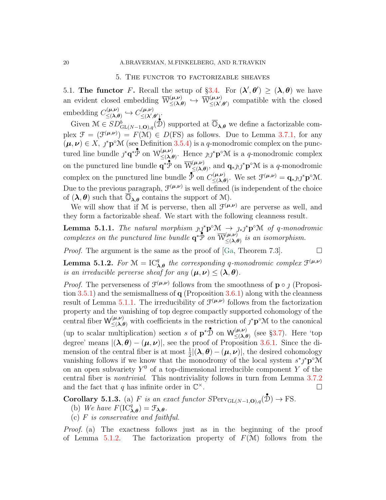### 5. The functor to factorizable sheaves

5.1. The functor F. Recall the setup of §[3.4.](#page-10-0) For  $(\lambda', \theta') \geq (\lambda, \theta)$  we have an evident closed embedding  $\overline{\mathcal{W}}_{\leq \Delta}^{(\mu,\nu)}$  $\begin{array}{rcl} (\mu,\nu) & \hookrightarrow & \overline{\mathcal{W}}^{(\mu,\nu)}_{\leq (\lambda^\prime,\nu)} \end{array}$  $(\mu,\nu)$  compatible with the closed embedding  $C^{(\mu,\nu)}_{\leq \zeta \lambda \beta}$  $C^{(\boldsymbol{\mu},\boldsymbol{\nu})}_{\leq (\boldsymbol{\lambda},\boldsymbol{\theta})}\hookrightarrow C^{(\boldsymbol{\mu},\boldsymbol{\nu})}_{\leq (\boldsymbol{\lambda}^\prime, \boldsymbol{\mu})}$  $\leq$   $(\lambda', \theta')$  .

Given  $\mathcal{M} \in SD^b_{\mathrm{GL}(N-1,\mathbf{O}),q}(\mathcal{D})$  supported at  $\overline{\mathbb{O}}_{\lambda,\theta}$  we define a factorizable com-• plex  $\mathcal{F} = (\mathcal{F}^{(\mu,\nu)}) = F(\mathcal{M}) \in D(FS)$  as follows. Due to Lemma [3.7.1,](#page-15-0) for any  $(\mu, \nu) \in X$ ,  $\jmath^* \mathbf{p}^{\circ} \mathcal{M}$  (see Definition [3.5.4\)](#page-13-2) is a q-monodromic complex on the punctured line bundle  $j^*q^*\bar{\mathcal{P}}$  on  $\mathcal{W}^{(\mu,\nu)}_{\leq \lambda}$  $(\mu,\nu)$ <br>  $\leq (\lambda,\theta)$ . Hence  $\jmath_{!}\jmath^*{\bf p}^{\circ}{\mathcal M}$  is a q-monodromic complex on the punctured line bundle  $\overline{\mathbf{q}}^*\overline{\mathbf{p}}$  on  $\overline{\mathbf{W}}_{\leq \Delta}^{(\mu,\nu)}$  $(\mu, \nu)$ , and  $\mathbf{q}_{\ast}$  $j_!j^*\mathbf{p}^{\circ}\mathcal{M}$  is a q-monodromic complex on the punctured line bundle  $\overline{\mathcal{P}}$  on  $C_{\leq \lambda}^{(\mu,\nu)}$  $\mathcal{L}(\lambda,\theta)$ . We set  $\mathcal{F}^{(\mu,\nu)} = \mathbf{q}_{\ast}j_!\jmath^* \mathbf{p}^{\circ} \mathcal{M}.$ Due to the previous paragraph,  $\mathcal{F}^{(\mu,\nu)}$  is well defined (is independent of the choice of  $(\lambda, \theta)$  such that  $\overline{\mathbb{O}}_{\lambda,\theta}$  contains the support of M).

We will show that if M is perverse, then all  $\mathcal{F}^{(\mu,\nu)}$  are perverse as well, and they form a factorizable sheaf. We start with the following cleanness result.

<span id="page-19-0"></span>**Lemma 5.1.1.** The natural morphism  $\lim_{n \to \infty} \mathbf{p}^{\circ} \mathbf{M} \to \lim_{n \to \infty} \mathbf{p}^{\circ} \mathbf{M}$  of q-monodromic complexes on the punctured line bundle  $\mathbf{q}^*\mathbf{P}$  on  $\overline{W}^{(\mu,\nu)}_{\leq \Delta}$  $\sum_{n=1}^{\infty}$  is an isomorphism.

*Proof.* The argument is the same as the proof of [\[Ga,](#page-24-3) Theorem 7.3].  $\Box$ 

<span id="page-19-1"></span>**Lemma 5.1.2.** For  $\mathcal{M} = \mathrm{IC}_{\lambda,\theta}^q$  the corresponding q-monodromic complex  $\mathcal{F}^{(\mu,\nu)}$ is an irreducible perverse sheaf for any  $(\mu, \nu) \leq (\lambda, \theta)$ .

*Proof.* The perverseness of  $\mathcal{F}^{(\mu,\nu)}$  follows from the smoothness of  $\mathbf{p} \circ \jmath$  (Proposition  $3.5.1$ ) and the semismallness of  $q$  (Proposition  $3.6.1$ ) along with the cleanness result of Lemma [5.1.1.](#page-19-0) The irreducibility of  $\mathcal{F}^{(\mu,\nu)}$  follows from the factorization property and the vanishing of top degree compactly supported cohomology of the central fiber  $\mathsf{W}^{(\mu,\nu)}_{\leq(\lambda,\theta)}$  with coefficients in the restriction of  $j^*\mathbf{p}^\circ\mathcal{M}$  to the canonical (up to scalar multiplication) section s of  $\mathbf{p}^*\mathbf{\hat{D}}$  on  $\mathsf{W}^{(\mu,\nu)}_{\leq \Delta}$  $(\mu,\nu)$  (see §[3.7\)](#page-15-1). Here 'top degree' means  $|(\lambda, \theta) - (\mu, \nu)|$ , see the proof of Proposition [3.6.1.](#page-13-1) Since the dimension of the central fiber is at most  $\frac{1}{2} |(\lambda, \theta) - (\mu, \nu)|$ , the desired cohomology vanishing follows if we know that the monodromy of the local system  $s^*j^*\mathbf{p}^{\circ}\mathcal{M}$ on an open subvariety  $Y^0$  of a top-dimensional irreducible component Y of the central fiber is nontrivial. This nontriviality follows in turn from Lemma [3.7.2](#page-15-2) and the fact that q has infinite order in  $\mathbb{C}^{\times}$ .  $\times$ .

<span id="page-19-2"></span>**Corollary 5.1.3.** (a) F is an exact functor  $SPerv_{GL(N-1,0),q}(\mathcal{D}) \to FS$ .

- (b) We have  $F(\mathrm{IC}_{\lambda,\theta}^q) = \mathcal{F}_{\lambda,\theta}$ .
- (c)  $F$  is conservative and faithful.

Proof. (a) The exactness follows just as in the beginning of the proof of Lemma [5.1.2.](#page-19-1) The factorization property of  $F(\mathcal{M})$  follows from the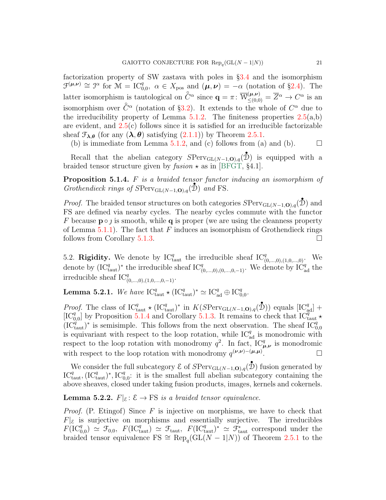factorization property of SW zastava with poles in §[3.4](#page-10-0) and the isomorphism  $\mathcal{F}^{(\mu,\nu)} \cong \mathcal{F}^{\alpha}$  for  $\mathcal{M} = \mathrm{IC}_{0,0}^q$ ,  $\alpha \in X_{\text{pos}}$  and  $(\mu,\nu) = -\alpha$  (notation of §[2.4\)](#page-7-3). The latter isomorphism is tautological on  $\hat{C}^{\alpha}$  since  $\mathbf{q} = \pi \colon \overline{W}^{(\mu,\nu)}_{\leq (0,0)} = \overline{Z}^{\alpha} \to C^{\alpha}$  is an isomorphism over  $\hat{C}^{\alpha}$  (notation of §[3.2\)](#page-9-1). It extends to the whole of  $C^{\alpha}$  due to the irreducibility property of Lemma  $5.1.2$ . The finiteness properties  $2.5(a,b)$  $2.5(a,b)$ are evident, and [2.5\(](#page-7-2)c) follows since it is satisfied for an irreducible factorizable sheaf  $\mathcal{F}_{\lambda,\theta}$  (for any  $(\lambda,\theta)$  satisfying  $(2.1.1)$ ) by Theorem [2.5.1.](#page-8-1)

(b) is immediate from Lemma [5.1.2,](#page-19-1) and (c) follows from (a) and (b).  $\Box$ 

Recall that the abelian category  $SPerv_{GL(N-1,0),q}(\mathcal{D})$  is equipped with a braided tensor structure given by  $fusion \star$  as in [\[BFGT,](#page-24-2) §4.1].

<span id="page-20-0"></span>**Proposition 5.1.4.**  $F$  is a braided tensor functor inducing an isomorphism of Grothendieck rings of  $SPerv_{GL(N-1,0),q}(\mathcal{D})$  and FS.

*Proof.* The braided tensor structures on both categories  $SPerv_{GL(N-1,0),q}(\mathcal{D})$  and FS are defined via nearby cycles. The nearby cycles commute with the functor F because  $p \circ \iota$  is smooth, while q is proper (we are using the cleanness property of Lemma [5.1.1\)](#page-19-0). The fact that F induces an isomorphism of Grothendieck rings follows from Corollary [5.1.3.](#page-19-2)

5.2. Rigidity. We denote by  $IC_{\text{taut}}^q$  the irreducible sheaf  $IC_{(0,\ldots,0),(1,0,\ldots,0)}^q$ . We denote by  $(\mathrm{IC}_{\mathrm{taut}}^q)^*$  the irreducible sheaf  $\mathrm{IC}_{(0,\ldots,0),(0,\ldots,0,-1)}^q$ . We denote by  $\mathrm{IC}_{\mathrm{ad}}^q$  the irreducible sheaf  $IC_{(0,...,0),(1,0,...,0,-1)}^q$ .

<span id="page-20-1"></span>**Lemma 5.2.1.** We have  $IC_{\text{taut}}^q \star (IC_{\text{taut}}^q)^* \simeq IC_{\text{ad}}^q \oplus IC_{0,0}^q$ .

*Proof.* The class of  $IC_{\text{taut}}^q \star (IC_{\text{taut}}^q)^*$  in  $K(SPerv_{\text{GL}(N-1,\mathbf{O}),q}(\mathcal{D}))$  equals  $[IC_{\text{ad}}^q]$  +  $[IC_{0,0}^q]$  by Proposition [5.1.4](#page-20-0) and Corollary [5.1.3.](#page-19-2) It remains to check that  $IC_{\text{taut}}^q$   $\star$  $(\mathrm{IC}_{\text{taut}}^q)^*$  is semisimple. This follows from the next observation. The sheaf  $\mathrm{IC}_{0,0}^q$ is equivariant with respect to the loop rotation, while  $IC_{ad}^q$  is monodromic with respect to the loop rotation with monodromy  $q^2$ . In fact,  $IC_{\mu,\nu}^q$  is monodromic with respect to the loop rotation with monodromy  $q^{(\nu,\nu)-(\mu,\mu)}$ .

We consider the full subcategory  $\mathcal E$  of  $SPerv_{GL(N-1,0),q}(\mathbb{D})$  fusion generated by  $IC_{\text{taut}}^q, (IC_{\text{taut}}^q)^*, IC_{0,0}^q$ : it is the smallest full abelian subcategory containing the above sheaves, closed under taking fusion products, images, kernels and cokernels.

<span id="page-20-2"></span>**Lemma 5.2.2.**  $F|_{\mathcal{E}}: \mathcal{E} \to FS$  is a braided tensor equivalence.

*Proof.* (P. Etingof) Since F is injective on morphisms, we have to check that  $F|_{\mathcal{E}}$  is surjective on morphisms and essentially surjective. The irreducibles  $F(\mathrm{IC}_{0,0}^q) \simeq \mathcal{F}_{0,0}, F(\mathrm{IC}_{\mathrm{taut}}^q) \simeq \mathcal{F}_{\mathrm{taut}}, F(\mathrm{IC}_{\mathrm{taut}}^q)^* \simeq \mathcal{F}_{\mathrm{taut}}^*$  correspond under the braided tensor equivalence FS  $\cong \text{Rep}_q(\text{GL}(N-1|N))$  of Theorem [2.5.1](#page-8-1) to the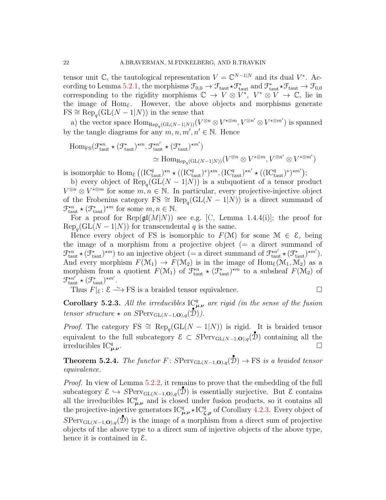tensor unit C, the tautological representation  $V = \mathbb{C}^{N-1|N}$  and its dual  $V^*$ . Ac-cording to Lemma [5.2.1,](#page-20-1) the morphisms  $\mathcal{F}_{0,0} \to \mathcal{F}_{\text{taut}} \star \mathcal{F}_{\text{taut}}^*$  and  $\mathcal{F}_{\text{taut}}^* \star \mathcal{F}_{\text{taut}} \to \mathcal{F}_{0,0}$ corresponding to the rigidity morphisms  $\mathbb{C} \to V \otimes V^*$ ,  $V^* \otimes V \to \mathbb{C}$ , lie in the image of  $Hom_{\mathcal{E}}$ . However, the above objects and morphisms generate  $FS \cong \text{Rep}_q(\text{GL}(N-1|N))$  in the sense that

a) the vector space  $\text{Hom}_{\text{Rep}_q(\text{GL}(N-1[N))}(V^{\otimes n}\otimes V^{*\otimes m}, V^{\otimes n'}\otimes V^{*\otimes m'})$  is spanned by the tangle diagrams for any  $m, n, m', n' \in \mathbb{N}$ . Hence

$$
\text{Hom}_{\text{FS}}(\mathcal{F}_{\text{taut}}^{*n} \star (\mathcal{F}_{\text{taut}}^{*})^{*m}, \mathcal{F}_{\text{taut}}^{*n'} \star (\mathcal{F}_{\text{taut}}^{*})^{*m'})
$$
  

$$
\simeq \text{Hom}_{\text{Rep}_{q}(\text{GL}(N-1|N))}(V^{\otimes n} \otimes V^{*\otimes m}, V^{\otimes n'} \otimes V^{*\otimes m'})
$$

is isomorphic to  $\text{Hom}_{\mathcal{E}} \left( (\text{IC}_{\text{taut}}^q)^{\ast n} \star ((\text{IC}_{\text{taut}}^q)^{\ast})^{\ast m}, (\text{IC}_{\text{taut}}^q)^{\ast n'} \star ((\text{IC}_{\text{taut}}^q)^{\ast})^{\ast m'} \right);$ 

b) every object of  $\text{Rep}_q(\text{GL}(N-1|N))$  is a subquotient of a tensor product  $V^{\otimes n} \otimes V^{*\otimes m}$  for some  $m, n \in \mathbb{N}$ . In particular, every projective-injective object of the Frobenius category FS  $\cong \text{Rep}_q(\text{GL}(N-1|N))$  is a direct summand of  $\mathcal{F}_{\text{taut}}^{\star n} \star (\mathcal{F}_{\text{taut}}^{\star})^{\star m}$  for some  $m, n \in \mathbb{N}$ .

For a proof for  $\text{Rep}(\mathfrak{gl}(M|N))$  see e.g. [\[C,](#page-24-5) Lemma 1.4.4(i)]; the proof for  $\text{Rep}_{q}(\text{GL}(N-1|N))$  for transcendental q is the same.

Hence every object of FS is isomorphic to  $F(\mathcal{M})$  for some  $\mathcal{M} \in \mathcal{E}$ , being the image of a morphism from a projective object  $(= a$  direct summand of  $\mathcal{F}_{\text{taut}}^{*n} \star (\mathcal{F}_{\text{taut}}^{*})^{*m}$  to an injective object (= a direct summand of  $\mathcal{F}_{\text{taut}}^{*n'} \star (\mathcal{F}_{\text{taut}}^{*})^{*m'}$ ). And every morphism  $F(\mathcal{M}_1) \to F(\mathcal{M}_2)$  is in the image of  $Hom_{\mathcal{E}}(\mathcal{M}_1, \mathcal{M}_2)$  as a morphism from a quotient  $F(\mathcal{M}_1)$  of  $\mathcal{F}_{\text{taut}}^{*n} \star (\mathcal{F}_{\text{taut}}^{*})^{*m}$  to a subsheaf  $F(\mathcal{M}_2)$  of  $\mathcal{F}_{\text{taut}}^{\star n'} \star (\mathcal{F}_{\text{taut}}^*)^{\star m'}.$ 

Thus  $F|\varepsilon: \mathcal{E} \longrightarrow FS$  is a braided tensor equivalence.

<span id="page-21-1"></span>Corollary 5.2.3. All the irreducibles  $\mathcal{IC}_{\mu,\nu}^q$  are rigid (in the sense of the fusion tensor structure  $\star$  on  $SPerv_{\mathrm{GL}(N-1,\mathbf{O}),q}(\mathcal{D})).$ 

*Proof.* The category FS  $\cong \text{Rep}_q(\text{GL}(N-1|N))$  is rigid. It is braided tensor equivalent to the full subcategory  $\mathcal{E} \subset S\text{Perv}_{GL(N-1,\mathbf{O}),q}(\mathcal{D})$  containing all the irreducibles  $IC_{\mu,\nu}^q$ .

<span id="page-21-0"></span>**Theorem 5.2.4.** The functor  $F:$   $SPerv_{\mathrm{GL}(N-1,\mathbf{O}),q}(\mathbf{\hat{D}}) \to FS$  is a braided tensor equivalence.

Proof. In view of Lemma [5.2.2,](#page-20-2) it remains to prove that the embedding of the full subcategory  $\mathcal{E} \hookrightarrow S\text{Perv}_{GL(N-1,\mathbf{O}),q}(\mathcal{D})$  is essentially surjective. But  $\mathcal{E}$  contains all the irreducibles  $\mathrm{IC}_{\mu,\nu}^q$  and is closed under fusion products, so it contains all the projective-injective generators  $IC_{\mu,\nu}^q \star IC_{\zeta,\rho}^q$  of Corollary [4.2.3.](#page-17-1) Every object of  $SPerv_{GL(N-1,0),q}(\mathcal{D})$  is the image of a morphism from a direct sum of projective objects of the above type to a direct sum of injective objects of the above type, hence it is contained in E.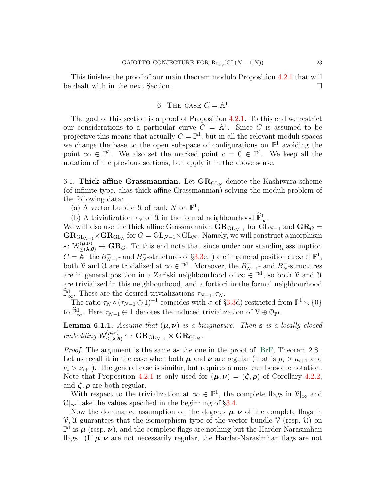This finishes the proof of our main theorem modulo Proposition [4.2.1](#page-17-0) that will be dealt with in the next Section.

6. THE CASE 
$$
C = \mathbb{A}^1
$$

The goal of this section is a proof of Proposition [4.2.1.](#page-17-0) To this end we restrict our considerations to a particular curve  $C = \mathbb{A}^1$ . Since C is assumed to be projective this means that actually  $C = \mathbb{P}^1$ , but in all the relevant moduli spaces we change the base to the open subspace of configurations on  $\mathbb{P}^1$  avoiding the point  $\infty \in \mathbb{P}^1$ . We also set the marked point  $c = 0 \in \mathbb{P}^1$ . We keep all the notation of the previous sections, but apply it in the above sense.

6.1. Thick affine Grassmannian. Let  $GR_{GLN}$  denote the Kashiwara scheme (of infinite type, alias thick affine Grassmannian) solving the moduli problem of the following data:

(a) A vector bundle U of rank N on  $\mathbb{P}^1$ ;

(b) A trivialization  $\tau_N$  of U in the formal neighbourhood  $\widehat{\mathbb{P}}_{\infty}^1$ .

We will also use the thick affine Grassmannian  $\text{GR}_{\text{GL}_{N-1}}$  for  $\text{GL}_{N-1}$  and  $\text{GR}_G =$  $\mathbf{GR}_{\mathrm{GL}_{N-1}} \times \mathbf{GR}_{\mathrm{GL}_N}$  for  $G = \mathrm{GL}_{N-1} \times \mathrm{GL}_N$ . Namely, we will construct a morphism  $\mathbf{s} \colon \mathcal{W}^{(\mu,\nu)}_{\leq (\lambda,\theta)} \to \mathbf{GR}_G$ . To this end note that since under our standing assumption  $C = \overline{\mathbb{A}}^1$  the  $B_N^ \overline{N}_{N-1}$ - and  $B_N^-$ -structures of §[3.3e](#page-9-0),f) are in general position at  $\infty \in \mathbb{P}^1$ , both V and U are trivialized at  $\infty \in \mathbb{P}^1$ . Moreover, the  $B_N^ \bar{N}_{N-1}$ - and  $B_N^-$ -structures are in general position in a Zariski neighbourhood of  $\infty \in \mathbb{P}^1$ , so both V and U are trivialized in this neighbourhood, and a fortiori in the formal neighbourhood  $\widehat{\mathbb{P}}_{\infty}^1$ . These are the desired trivializations  $\tau_{N-1}, \tau_N$ .

The ratio  $\tau_N \circ (\tau_{N-1} \oplus 1)^{-1}$  coincides with  $\sigma$  of §[3.3d](#page-9-0)) restricted from  $\mathbb{P}^1 \setminus \{0\}$ to  $\widehat{\mathbb{P}}_{\infty}^1$ . Here  $\tau_{N-1} \oplus 1$  denotes the induced trivialization of  $\mathcal{V} \oplus \mathcal{O}_{\mathbb{P}^1}$ .

<span id="page-22-0"></span>**Lemma 6.1.1.** Assume that  $(\mu, \nu)$  is a bisignature. Then **s** is a locally closed embedding  $\mathcal{W}^{(\mu,\nu)}_{\leq \Delta}$  $\mathop{\leqslant}^{(\boldsymbol{\mu}, \boldsymbol{\nu})}_{\leqslant (\boldsymbol{\lambda}, \boldsymbol{\theta})} \hookrightarrow \mathbf{GR}_{\mathrm{GL}_{N-1}} \times \mathbf{GR}_{\mathrm{GL}_N}.$ 

Proof. The argument is the same as the one in the proof of [\[BrF,](#page-24-10) Theorem 2.8]. Let us recall it in the case when both  $\mu$  and  $\nu$  are regular (that is  $\mu_i > \mu_{i+1}$  and  $\nu_i > \nu_{i+1}$ ). The general case is similar, but requires a more cumbersome notation. Note that Proposition [4.2.1](#page-17-0) is only used for  $(\mu, \nu) = (\zeta, \rho)$  of Corollary [4.2.2,](#page-17-2) and  $\zeta$ ,  $\rho$  are both regular.

With respect to the trivialization at  $\infty \in \mathbb{P}^1$ , the complete flags in  $\mathcal{V}|_{\infty}$  and  $\mathcal{U}|_{\infty}$  take the values specified in the beginning of §[3.4.](#page-10-0)

Now the dominance assumption on the degrees  $\mu, \nu$  of the complete flags in  $V, U$  guarantees that the isomorphism type of the vector bundle  $V$  (resp.  $U$ ) on  $\mathbb{P}^1$  is  $\mu$  (resp.  $\nu$ ), and the complete flags are nothing but the Harder-Narasimhan flags. (If  $\mu, \nu$  are not necessarily regular, the Harder-Narasimhan flags are not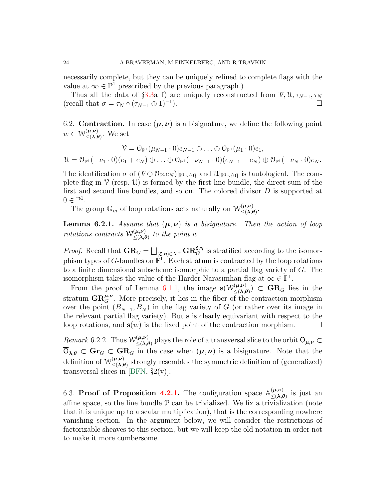necessarily complete, but they can be uniquely refined to complete flags with the value at  $\infty \in \mathbb{P}^1$  prescribed by the previous paragraph.)

Thus all the data of §[3.3a](#page-9-0)–f) are uniquely reconstructed from  $V, U, \tau_{N-1}, \tau_N$ (recall that  $\sigma = \tau_N \circ (\tau_{N-1} \oplus 1)^{-1}$ ). ).  $\qquad \qquad \square$ 

6.2. Contraction. In case  $(\mu, \nu)$  is a bisignature, we define the following point  $w \in \mathcal{W}^{(\mu,\nu)}_{\leq (\lambda,\ell)}$  $(\mu,\nu)$ . We set

$$
\mathcal{V} = \mathcal{O}_{\mathbb{P}^1}(\mu_{N-1} \cdot 0) e_{N-1} \oplus \ldots \oplus \mathcal{O}_{\mathbb{P}^1}(\mu_1 \cdot 0) e_1,
$$
  

$$
\mathcal{U} = \mathcal{O}_{\mathbb{P}^1}(-\nu_1 \cdot 0)(e_1 + e_N) \oplus \ldots \oplus \mathcal{O}_{\mathbb{P}^1}(-\nu_{N-1} \cdot 0)(e_{N-1} + e_N) \oplus \mathcal{O}_{\mathbb{P}^1}(-\nu_N \cdot 0) e_N.
$$

The identification  $\sigma$  of  $(\mathcal{V} \oplus \mathcal{O}_{\mathbb{P}^1}e_N)|_{\mathbb{P}^1 \setminus \{0\}}$  and  $\mathcal{U}|_{\mathbb{P}^1 \setminus \{0\}}$  is tautological. The complete flag in  $\mathcal V$  (resp.  $\mathcal U$ ) is formed by the first line bundle, the direct sum of the first and second line bundles, and so on. The colored divisor  $D$  is supported at  $0 \in \mathbb{P}^1$ .

The group  $\mathbb{G}_m$  of loop rotations acts naturally on  $\mathcal{W}^{(\mu,\nu)}_{\leq \lambda,\ell}$  $(\mu,\nu) \leq (\lambda,\theta)$ 

<span id="page-23-1"></span>**Lemma 6.2.1.** Assume that  $(\mu, \nu)$  is a bisignature. Then the action of loop rotations contracts  $W^{(\mu,\nu)}_{\leq (\lambda,\ell)}$  $\sum_{n=1}^{(H,\nu)}$  to the point w.

*Proof.* Recall that  $\mathbf{GR}_G = \bigsqcup_{(\xi,\eta)\in X^+} \mathbf{GR}_G^{\xi,\eta}$  is stratified according to the isomorphism types of G-bundles on  $\mathbb{P}^1$ . Each stratum is contracted by the loop rotations to a finite dimensional subscheme isomorphic to a partial flag variety of G. The isomorphism takes the value of the Harder-Narasimhan flag at  $\infty \in \mathbb{P}^1$ .

From the proof of Lemma [6.1.1,](#page-22-0) the image  $s(W_{\leq \lambda}^{(\mu,\nu)})$  $(\mu, \nu)$   $\subset$  GR<sub>G</sub> lies in the stratum  $\mathbf{GR}_{G}^{\mu,\nu}$ . More precisely, it lies in the fiber of the contraction morphism over the point  $(B_N)$  $\bar{N}_{N-1}, B_N^-$  in the flag variety of G (or rather over its image in the relevant partial flag variety). But s is clearly equivariant with respect to the loop rotations, and  $s(w)$  is the fixed point of the contraction morphism.

*Remark* 6.2.2. Thus  $W_{\leq (\lambda)}^{(\mu,\nu)}$  $(\mu,\nu)$  plays the role of a transversal slice to the orbit  $O_{\mu,\nu} \subset \mathbb{R}$  $\overline{O}_{\lambda,\theta} \subset \mathbf{Gr}_G \subset \mathbf{GR}_G$  in the case when  $(\mu,\nu)$  is a bisignature. Note that the definition of  $W^{(\mu,\nu)}_{\leq \Delta}$  $(\mu,\nu)$  strongly resembles the symmetric definition of (generalized) transversal slices in [\[BFN,](#page-24-6)  $\S2(v)$ ].

<span id="page-23-0"></span>6.3. Proof of Proposition [4.2.1.](#page-17-0) The configuration space  $\mathbb{A}^{(\mu,\nu)}_{\leq \Delta}$  $(\mu,\nu)$  is just an affine space, so the line bundle  $P$  can be trivialized. We fix a trivialization (note that it is unique up to a scalar multiplication), that is the corresponding nowhere vanishing section. In the argument below, we will consider the restrictions of factorizable sheaves to this section, but we will keep the old notation in order not to make it more cumbersome.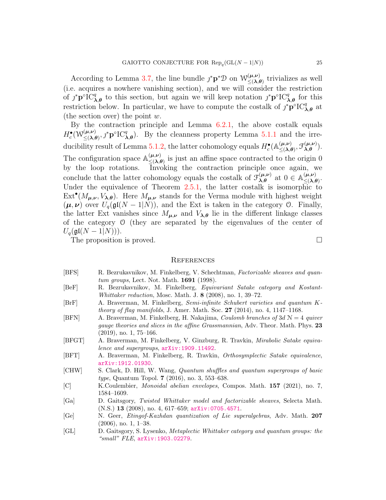According to Lemma [3.7,](#page-15-1) the line bundle  $j^* \mathbf{p}^* \mathcal{D}$  on  $\mathcal{W}^{(\mu,\nu)}_{\leq \Delta \ell}$  $\leq (\lambda, \theta)$  trivializes as well (i.e. acquires a nowhere vanishing section), and we will consider the restriction of  $j^*p^{\circ}IC_{\lambda,\theta}^q$  to this section, but again we will keep notation  $j^*p^{\circ}IC_{\lambda,\theta}^q$  for this restriction below. In particular, we have to compute the costalk of  $j^* \mathbf{p}^{\circ} \mathbf{IC}_{\lambda,\theta}^q$  at (the section over) the point  $w$ .

By the contraction principle and Lemma  $6.2.1$ , the above costally equals  $H^\bullet_c({\mathcal W}^{(\boldsymbol \mu,\boldsymbol \nu)}_{< (\boldsymbol \lambda,\boldsymbol \ell)}$  $(\mu,\nu)$ <br>  $\leq (\lambda,\theta),$   $\mathcal{F}^{\circ}IC_{\lambda,\theta}^{q}$ . By the cleanness property Lemma [5.1.1](#page-19-0) and the irre-ducibility result of Lemma [5.1.2,](#page-19-1) the latter cohomology equals  $H_c^{\bullet}(\mathbb{A}^{(\mu,\nu)}_{\leq \lambda,\ell})$  $\mathcal{L}^{(\boldsymbol{\mu}, \boldsymbol{\nu})}_{\leq (\boldsymbol{\lambda}, \boldsymbol{\theta})}, \mathcal{F}^{(\boldsymbol{\mu}, \boldsymbol{\nu})}_{\boldsymbol{\lambda}, \boldsymbol{\theta}}$  $\lambda, \theta^{(\mu,\nu)}$ ). The configuration space  $\mathbb{A}_{\leq \Delta}^{(\mu,\nu)}$  $(\mu,\nu)$  is just an affine space contracted to the origin 0 by the loop rotations. Invoking the contraction principle once again, we conclude that the latter cohomology equals the costalk of  $\mathcal{F}_{\lambda \theta}^{(\mu,\nu)}$  $\lambda, \theta$  at  $0 \in \mathbb{A}^{(\mu,\nu)}_{\leq (\lambda,\theta)}$  $(\mu,\nu)$ <br> $\leq (\lambda,\theta)$ Under the equivalence of Theorem [2.5.1,](#page-8-1) the latter costalk is isomorphic to  $\text{Ext}^{\bullet}(M_{\mu,\nu}, V_{\lambda,\theta})$ . Here  $M_{\mu,\nu}$  stands for the Verma module with highest weight  $(\mu, \nu)$  over  $U_q(\mathfrak{gl}(N-1|N))$ , and the Ext is taken in the category 0. Finally, the latter Ext vanishes since  $M_{\mu,\nu}$  and  $V_{\lambda,\theta}$  lie in the different linkage classes of the category O (they are separated by the eigenvalues of the center of  $U_q(\mathfrak{gl}(N-1|N))).$ 

The proposition is proved.  $\square$ 

#### **REFERENCES**

- <span id="page-24-4"></span>[BFS] R. Bezrukavnikov, M. Finkelberg, V. Schechtman, Factorizable sheaves and quantum groups, Lect. Not. Math. 1691 (1998).
- <span id="page-24-0"></span>[BeF] R. Bezrukavnikov, M. Finkelberg, Equivariant Satake category and Kostant-Whittaker reduction, Mosc. Math. J. 8 (2008), no. 1, 39–72.
- <span id="page-24-10"></span>[BrF] A. Braverman, M. Finkelberg, Semi-infinite Schubert varieties and quantum Ktheory of flag manifolds, J. Amer. Math. Soc.  $27$  (2014), no. 4, 1147–1168.
- <span id="page-24-6"></span>[BFN] A. Braverman, M. Finkelberg, H. Nakajima, *Coulomb branches of*  $3dN = 4$  *quiver* gauge theories and slices in the affine Grassmannian, Adv. Theor. Math. Phys. 23 (2019), no. 1, 75–166.
- <span id="page-24-2"></span>[BFGT] A. Braverman, M. Finkelberg, V. Ginzburg, R. Travkin, Mirabolic Satake equivalence and supergroups, [arXiv:1909.11492](http://arxiv.org/abs/1909.11492).
- <span id="page-24-7"></span>[BFT] A. Braverman, M. Finkelberg, R. Travkin, Orthosymplectic Satake equivalence, [arXiv:1912.01930](http://arxiv.org/abs/1912.01930).
- <span id="page-24-8"></span>[CHW] S. Clark, D. Hill, W. Wang, Quantum shuffles and quantum supergroups of basic type, Quantum Topol. 7 (2016), no. 3, 553–638.
- <span id="page-24-5"></span>[C] K.Coulembier, Monoidal abelian envelopes, Compos. Math. 157 (2021), no. 7, 1584–1609.
- <span id="page-24-3"></span>[Ga] D. Gaitsgory, Twisted Whittaker model and factorizable sheaves, Selecta Math. (N.S.) 13 (2008), no. 4, 617–659; [arXiv:0705.4571](http://arxiv.org/abs/0705.4571).
- <span id="page-24-9"></span>[Ge] N. Geer, Etingof-Kazhdan quantization of Lie superalgebras, Adv. Math. 207 (2006), no. 1, 1–38.
- <span id="page-24-1"></span>[GL] D. Gaitsgory, S. Lysenko, Metaplectic Whittaker category and quantum groups: the "small" FLE, [arXiv:1903.02279](http://arxiv.org/abs/1903.02279).